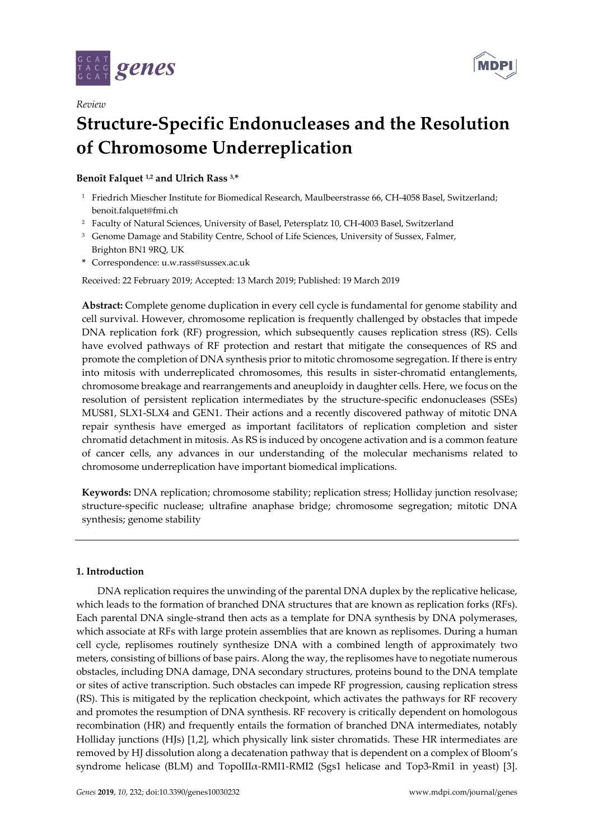



# *Review*

# **Structure-Specific Endonucleases and the Resolution of Chromosome Underreplication**

**Benoît Falquet 1,2 and Ulrich Rass 3, \***

- <sup>1</sup> Friedrich Miescher Institute for Biomedical Research, Maulbeerstrasse 66, CH-4058 Basel, Switzerland; benoit.falquet@fmi.ch
- <sup>2</sup> Faculty of Natural Sciences, University of Basel, Petersplatz 10, CH-4003 Basel, Switzerland
- <sup>3</sup> Genome Damage and Stability Centre, School of Life Sciences, University of Sussex, Falmer, Brighton BN1 9RQ, UK
- **\*** Correspondence: u.w.rass@sussex.ac.uk

Received: 22 February 2019; Accepted: 13 March 2019; Published: 19 March 2019

**Abstract:** Complete genome duplication in every cell cycle is fundamental for genome stability and cell survival. However, chromosome replication is frequently challenged by obstacles that impede DNA replication fork (RF) progression, which subsequently causes replication stress (RS). Cells have evolved pathways of RF protection and restart that mitigate the consequences of RS and promote the completion of DNA synthesis prior to mitotic chromosome segregation. If there is entry into mitosis with underreplicated chromosomes, this results in sister-chromatid entanglements, chromosome breakage and rearrangements and aneuploidy in daughter cells. Here, we focus on the resolution of persistent replication intermediates by the structure-specific endonucleases (SSEs) MUS81, SLX1-SLX4 and GEN1. Their actions and a recently discovered pathway of mitotic DNA repair synthesis have emerged as important facilitators of replication completion and sister chromatid detachment in mitosis. As RS is induced by oncogene activation and is a common feature of cancer cells, any advances in our understanding of the molecular mechanisms related to chromosome underreplication have important biomedical implications.

**Keywords:** DNA replication; chromosome stability; replication stress; Holliday junction resolvase; structure-specific nuclease; ultrafine anaphase bridge; chromosome segregation; mitotic DNA synthesis; genome stability

# **1. Introduction**

DNA replication requires the unwinding of the parental DNA duplex by the replicative helicase, which leads to the formation of branched DNA structures that are known as replication forks (RFs). Each parental DNA single-strand then acts as a template for DNA synthesis by DNA polymerases, which associate at RFs with large protein assemblies that are known as replisomes. During a human cell cycle, replisomes routinely synthesize DNA with a combined length of approximately two meters, consisting of billions of base pairs. Along the way, the replisomes have to negotiate numerous obstacles, including DNA damage, DNA secondary structures, proteins bound to the DNA template or sites of active transcription. Such obstacles can impede RF progression, causing replication stress (RS). This is mitigated by the replication checkpoint, which activates the pathways for RF recovery and promotes the resumption of DNA synthesis. RF recovery is critically dependent on homologous recombination (HR) and frequently entails the formation of branched DNA intermediates, notably Holliday junctions (HJs) [1,2], which physically link sister chromatids. These HR intermediates are removed by HJ dissolution along a decatenation pathway that is dependent on a complex of Bloom's syndrome helicase (BLM) and TopoIIIα-RMI1-RMI2 (Sgs1 helicase and Top3-Rmi1 in yeast) [3].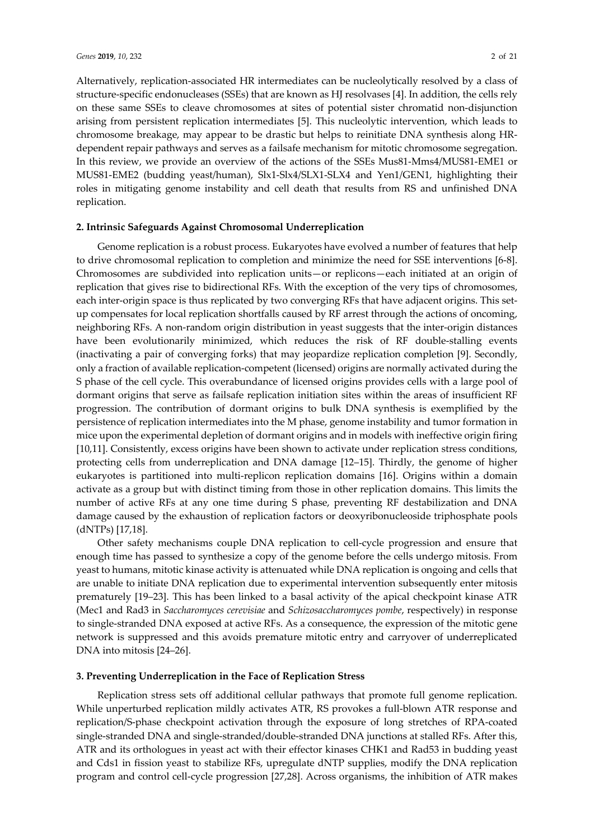Alternatively, replication-associated HR intermediates can be nucleolytically resolved by a class of structure-specific endonucleases (SSEs) that are known as HJ resolvases [4]. In addition, the cells rely on these same SSEs to cleave chromosomes at sites of potential sister chromatid non-disjunction arising from persistent replication intermediates [5]. This nucleolytic intervention, which leads to chromosome breakage, may appear to be drastic but helps to reinitiate DNA synthesis along HRdependent repair pathways and serves as a failsafe mechanism for mitotic chromosome segregation. In this review, we provide an overview of the actions of the SSEs Mus81-Mms4/MUS81-EME1 or MUS81-EME2 (budding yeast/human), Slx1-Slx4/SLX1-SLX4 and Yen1/GEN1, highlighting their roles in mitigating genome instability and cell death that results from RS and unfinished DNA replication.

#### **2. Intrinsic Safeguards Against Chromosomal Underreplication**

Genome replication is a robust process. Eukaryotes have evolved a number of features that help to drive chromosomal replication to completion and minimize the need for SSE interventions [6-8]. Chromosomes are subdivided into replication units—or replicons—each initiated at an origin of replication that gives rise to bidirectional RFs. With the exception of the very tips of chromosomes, each inter-origin space is thus replicated by two converging RFs that have adjacent origins. This setup compensates for local replication shortfalls caused by RF arrest through the actions of oncoming, neighboring RFs. A non-random origin distribution in yeast suggests that the inter-origin distances have been evolutionarily minimized, which reduces the risk of RF double-stalling events (inactivating a pair of converging forks) that may jeopardize replication completion [9]. Secondly, only a fraction of available replication-competent (licensed) origins are normally activated during the S phase of the cell cycle. This overabundance of licensed origins provides cells with a large pool of dormant origins that serve as failsafe replication initiation sites within the areas of insufficient RF progression. The contribution of dormant origins to bulk DNA synthesis is exemplified by the persistence of replication intermediates into the M phase, genome instability and tumor formation in mice upon the experimental depletion of dormant origins and in models with ineffective origin firing [10,11]. Consistently, excess origins have been shown to activate under replication stress conditions, protecting cells from underreplication and DNA damage [12–15]. Thirdly, the genome of higher eukaryotes is partitioned into multi-replicon replication domains [16]. Origins within a domain activate as a group but with distinct timing from those in other replication domains. This limits the number of active RFs at any one time during S phase, preventing RF destabilization and DNA damage caused by the exhaustion of replication factors or deoxyribonucleoside triphosphate pools (dNTPs) [17,18].

Other safety mechanisms couple DNA replication to cell-cycle progression and ensure that enough time has passed to synthesize a copy of the genome before the cells undergo mitosis. From yeast to humans, mitotic kinase activity is attenuated while DNA replication is ongoing and cells that are unable to initiate DNA replication due to experimental intervention subsequently enter mitosis prematurely [19–23]. This has been linked to a basal activity of the apical checkpoint kinase ATR (Mec1 and Rad3 in *Saccharomyces cerevisiae* and *Schizosaccharomyces pombe*, respectively) in response to single-stranded DNA exposed at active RFs. As a consequence, the expression of the mitotic gene network is suppressed and this avoids premature mitotic entry and carryover of underreplicated DNA into mitosis [24–26].

#### **3. Preventing Underreplication in the Face of Replication Stress**

Replication stress sets off additional cellular pathways that promote full genome replication. While unperturbed replication mildly activates ATR, RS provokes a full-blown ATR response and replication/S-phase checkpoint activation through the exposure of long stretches of RPA-coated single-stranded DNA and single-stranded/double-stranded DNA junctions at stalled RFs. After this, ATR and its orthologues in yeast act with their effector kinases CHK1 and Rad53 in budding yeast and Cds1 in fission yeast to stabilize RFs, upregulate dNTP supplies, modify the DNA replication program and control cell-cycle progression [27,28]. Across organisms, the inhibition of ATR makes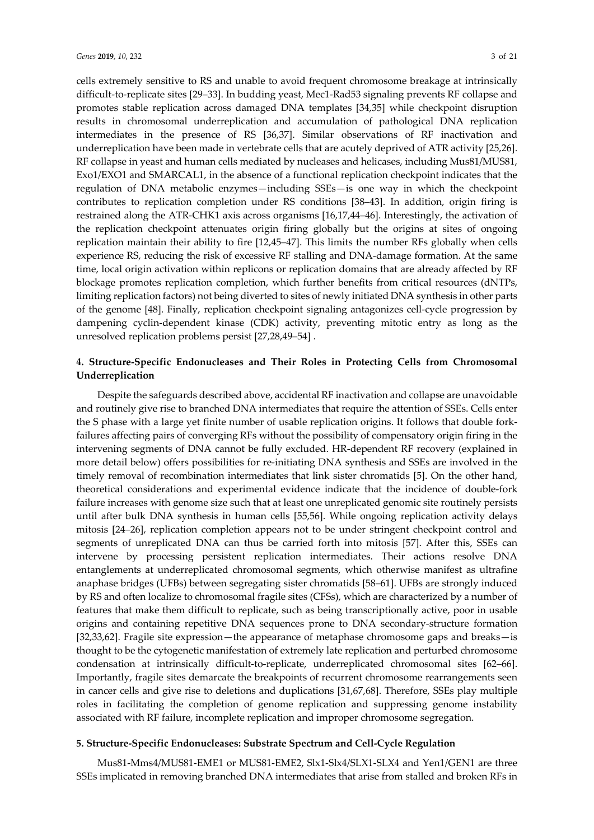cells extremely sensitive to RS and unable to avoid frequent chromosome breakage at intrinsically difficult-to-replicate sites [29–33]. In budding yeast, Mec1-Rad53 signaling prevents RF collapse and promotes stable replication across damaged DNA templates [34,35] while checkpoint disruption results in chromosomal underreplication and accumulation of pathological DNA replication intermediates in the presence of RS [36,37]. Similar observations of RF inactivation and underreplication have been made in vertebrate cells that are acutely deprived of ATR activity [25,26]. RF collapse in yeast and human cells mediated by nucleases and helicases, including Mus81/MUS81, Exo1/EXO1 and SMARCAL1, in the absence of a functional replication checkpoint indicates that the regulation of DNA metabolic enzymes—including SSEs—is one way in which the checkpoint contributes to replication completion under RS conditions [38–43]. In addition, origin firing is restrained along the ATR-CHK1 axis across organisms [16,17,44–46]. Interestingly, the activation of the replication checkpoint attenuates origin firing globally but the origins at sites of ongoing replication maintain their ability to fire [12,45–47]. This limits the number RFs globally when cells experience RS, reducing the risk of excessive RF stalling and DNA-damage formation. At the same time, local origin activation within replicons or replication domains that are already affected by RF blockage promotes replication completion, which further benefits from critical resources (dNTPs, limiting replication factors) not being diverted to sites of newly initiated DNA synthesis in other parts of the genome [48]. Finally, replication checkpoint signaling antagonizes cell-cycle progression by dampening cyclin-dependent kinase (CDK) activity, preventing mitotic entry as long as the unresolved replication problems persist [27,28,49–54] .

## **4. Structure-Specific Endonucleases and Their Roles in Protecting Cells from Chromosomal Underreplication**

Despite the safeguards described above, accidental RF inactivation and collapse are unavoidable and routinely give rise to branched DNA intermediates that require the attention of SSEs. Cells enter the S phase with a large yet finite number of usable replication origins. It follows that double forkfailures affecting pairs of converging RFs without the possibility of compensatory origin firing in the intervening segments of DNA cannot be fully excluded. HR-dependent RF recovery (explained in more detail below) offers possibilities for re-initiating DNA synthesis and SSEs are involved in the timely removal of recombination intermediates that link sister chromatids [5]. On the other hand, theoretical considerations and experimental evidence indicate that the incidence of double-fork failure increases with genome size such that at least one unreplicated genomic site routinely persists until after bulk DNA synthesis in human cells [55,56]. While ongoing replication activity delays mitosis [24–26], replication completion appears not to be under stringent checkpoint control and segments of unreplicated DNA can thus be carried forth into mitosis [57]. After this, SSEs can intervene by processing persistent replication intermediates. Their actions resolve DNA entanglements at underreplicated chromosomal segments, which otherwise manifest as ultrafine anaphase bridges (UFBs) between segregating sister chromatids [58–61]. UFBs are strongly induced by RS and often localize to chromosomal fragile sites (CFSs), which are characterized by a number of features that make them difficult to replicate, such as being transcriptionally active, poor in usable origins and containing repetitive DNA sequences prone to DNA secondary-structure formation [32,33,62]. Fragile site expression—the appearance of metaphase chromosome gaps and breaks—is thought to be the cytogenetic manifestation of extremely late replication and perturbed chromosome condensation at intrinsically difficult-to-replicate, underreplicated chromosomal sites [62–66]. Importantly, fragile sites demarcate the breakpoints of recurrent chromosome rearrangements seen in cancer cells and give rise to deletions and duplications [31,67,68]. Therefore, SSEs play multiple roles in facilitating the completion of genome replication and suppressing genome instability associated with RF failure, incomplete replication and improper chromosome segregation.

#### **5. Structure-Specific Endonucleases: Substrate Spectrum and Cell-Cycle Regulation**

Mus81-Mms4/MUS81-EME1 or MUS81-EME2, Slx1-Slx4/SLX1-SLX4 and Yen1/GEN1 are three SSEs implicated in removing branched DNA intermediates that arise from stalled and broken RFs in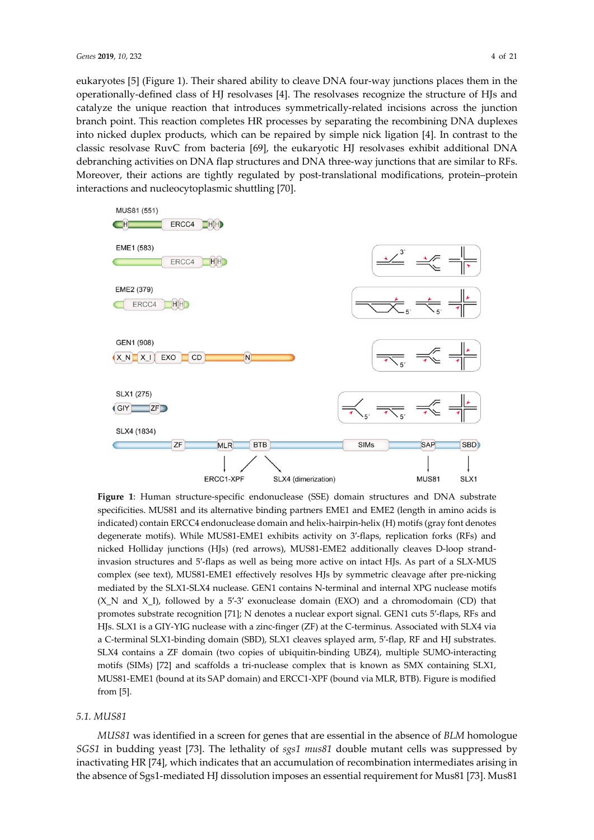eukaryotes [5] (Figure 1). Their shared ability to cleave DNA four-way junctions places them in the operationally-defined class of HJ resolvases [4]. The resolvases recognize the structure of HJs and

catalyze the unique reaction that introduces symmetrically-related incisions across the junction branch point. This reaction completes HR processes by separating the recombining DNA duplexes into nicked duplex products, which can be repaired by simple nick ligation [4]. In contrast to the classic resolvase RuvC from bacteria [69], the eukaryotic HJ resolvases exhibit additional DNA debranching activities on DNA flap structures and DNA three-way junctions that are similar to RFs. Moreover, their actions are tightly regulated by post-translational modifications, protein–protein interactions and nucleocytoplasmic shuttling [70].



**Figure 1**: Human structure-specific endonuclease (SSE) domain structures and DNA substrate specificities. MUS81 and its alternative binding partners EME1 and EME2 (length in amino acids is indicated) contain ERCC4 endonuclease domain and helix-hairpin-helix (H) motifs (gray font denotes degenerate motifs). While MUS81-EME1 exhibits activity on 3′-flaps, replication forks (RFs) and nicked Holliday junctions (HJs) (red arrows), MUS81-EME2 additionally cleaves D-loop strandinvasion structures and 5′-flaps as well as being more active on intact HJs. As part of a SLX-MUS complex (see text), MUS81-EME1 effectively resolves HJs by symmetric cleavage after pre-nicking mediated by the SLX1-SLX4 nuclease. GEN1 contains N-terminal and internal XPG nuclease motifs  $(X<sub>N</sub>$  and  $X<sub>L</sub>)$ , followed by a 5'-3' exonuclease domain (EXO) and a chromodomain (CD) that promotes substrate recognition [71]; N denotes a nuclear export signal. GEN1 cuts 5′-flaps, RFs and HJs. SLX1 is a GIY-YIG nuclease with a zinc-finger (ZF) at the C-terminus. Associated with SLX4 via a C-terminal SLX1-binding domain (SBD), SLX1 cleaves splayed arm, 5′-flap, RF and HJ substrates. SLX4 contains a ZF domain (two copies of ubiquitin-binding UBZ4), multiple SUMO-interacting motifs (SIMs) [72] and scaffolds a tri-nuclease complex that is known as SMX containing SLX1, MUS81-EME1 (bound at its SAP domain) and ERCC1-XPF (bound via MLR, BTB). Figure is modified from [5].

#### *5.1. MUS81*

*MUS81* was identified in a screen for genes that are essential in the absence of *BLM* homologue *SGS1* in budding yeast [73]. The lethality of *sgs1 mus81* double mutant cells was suppressed by inactivating HR [74], which indicates that an accumulation of recombination intermediates arising in the absence of Sgs1-mediated HJ dissolution imposes an essential requirement for Mus81 [73]. Mus81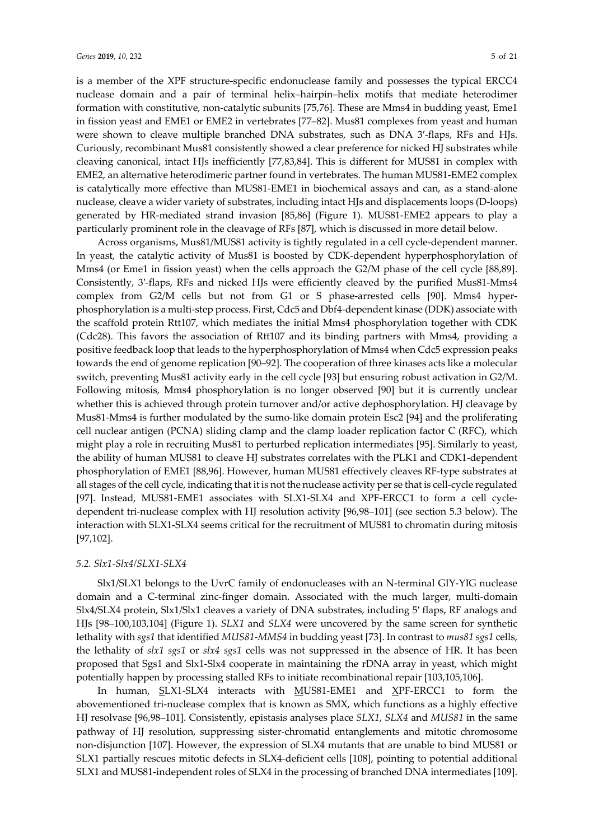is a member of the XPF structure-specific endonuclease family and possesses the typical ERCC4 nuclease domain and a pair of terminal helix–hairpin–helix motifs that mediate heterodimer formation with constitutive, non-catalytic subunits [75,76]. These are Mms4 in budding yeast, Eme1 in fission yeast and EME1 or EME2 in vertebrates [77–82]. Mus81 complexes from yeast and human were shown to cleave multiple branched DNA substrates, such as DNA 3′-flaps, RFs and HJs. Curiously, recombinant Mus81 consistently showed a clear preference for nicked HJ substrates while cleaving canonical, intact HJs inefficiently [77,83,84]. This is different for MUS81 in complex with EME2, an alternative heterodimeric partner found in vertebrates. The human MUS81-EME2 complex is catalytically more effective than MUS81-EME1 in biochemical assays and can, as a stand-alone nuclease, cleave a wider variety of substrates, including intact HJs and displacements loops (D-loops) generated by HR-mediated strand invasion [85,86] (Figure 1). MUS81-EME2 appears to play a particularly prominent role in the cleavage of RFs [87], which is discussed in more detail below.

Across organisms, Mus81/MUS81 activity is tightly regulated in a cell cycle-dependent manner. In yeast, the catalytic activity of Mus81 is boosted by CDK-dependent hyperphosphorylation of Mms4 (or Eme1 in fission yeast) when the cells approach the G2/M phase of the cell cycle [88,89]. Consistently, 3′-flaps, RFs and nicked HJs were efficiently cleaved by the purified Mus81-Mms4 complex from G2/M cells but not from G1 or S phase-arrested cells [90]. Mms4 hyperphosphorylation is a multi-step process. First, Cdc5 and Dbf4-dependent kinase (DDK) associate with the scaffold protein Rtt107, which mediates the initial Mms4 phosphorylation together with CDK (Cdc28). This favors the association of Rtt107 and its binding partners with Mms4, providing a positive feedback loop that leads to the hyperphosphorylation of Mms4 when Cdc5 expression peaks towards the end of genome replication [90–92]. The cooperation of three kinases acts like a molecular switch, preventing Mus81 activity early in the cell cycle [93] but ensuring robust activation in G2/M. Following mitosis, Mms4 phosphorylation is no longer observed [90] but it is currently unclear whether this is achieved through protein turnover and/or active dephosphorylation. HJ cleavage by Mus81-Mms4 is further modulated by the sumo-like domain protein Esc2 [94] and the proliferating cell nuclear antigen (PCNA) sliding clamp and the clamp loader replication factor C (RFC), which might play a role in recruiting Mus81 to perturbed replication intermediates [95]. Similarly to yeast, the ability of human MUS81 to cleave HJ substrates correlates with the PLK1 and CDK1-dependent phosphorylation of EME1 [88,96]. However, human MUS81 effectively cleaves RF-type substrates at all stages of the cell cycle, indicating that it is not the nuclease activity per se that is cell-cycle regulated [97]. Instead, MUS81-EME1 associates with SLX1-SLX4 and XPF-ERCC1 to form a cell cycledependent tri-nuclease complex with HJ resolution activity [96,98–101] (see section 5.3 below). The interaction with SLX1-SLX4 seems critical for the recruitment of MUS81 to chromatin during mitosis [97,102].

#### *5.2. Slx1-Slx4/SLX1-SLX4*

Slx1/SLX1 belongs to the UvrC family of endonucleases with an N-terminal GIY-YIG nuclease domain and a C-terminal zinc-finger domain. Associated with the much larger, multi-domain Slx4/SLX4 protein, Slx1/Slx1 cleaves a variety of DNA substrates, including 5′ flaps, RF analogs and HJs [98–100,103,104] (Figure 1). *SLX1* and *SLX4* were uncovered by the same screen for synthetic lethality with *sgs1* that identified *MUS81-MMS4* in budding yeast [73]. In contrast to *mus81 sgs1* cells, the lethality of *slx1 sgs1* or *slx4 sgs1* cells was not suppressed in the absence of HR. It has been proposed that Sgs1 and Slx1-Slx4 cooperate in maintaining the rDNA array in yeast, which might potentially happen by processing stalled RFs to initiate recombinational repair [103,105,106].

In human, SLX1-SLX4 interacts with MUS81-EME1 and XPF-ERCC1 to form the abovementioned tri-nuclease complex that is known as SMX, which functions as a highly effective HJ resolvase [96,98–101]. Consistently, epistasis analyses place *SLX1*, *SLX4* and *MUS81* in the same pathway of HJ resolution, suppressing sister-chromatid entanglements and mitotic chromosome non-disjunction [107]. However, the expression of SLX4 mutants that are unable to bind MUS81 or SLX1 partially rescues mitotic defects in SLX4-deficient cells [108], pointing to potential additional SLX1 and MUS81-independent roles of SLX4 in the processing of branched DNA intermediates [109].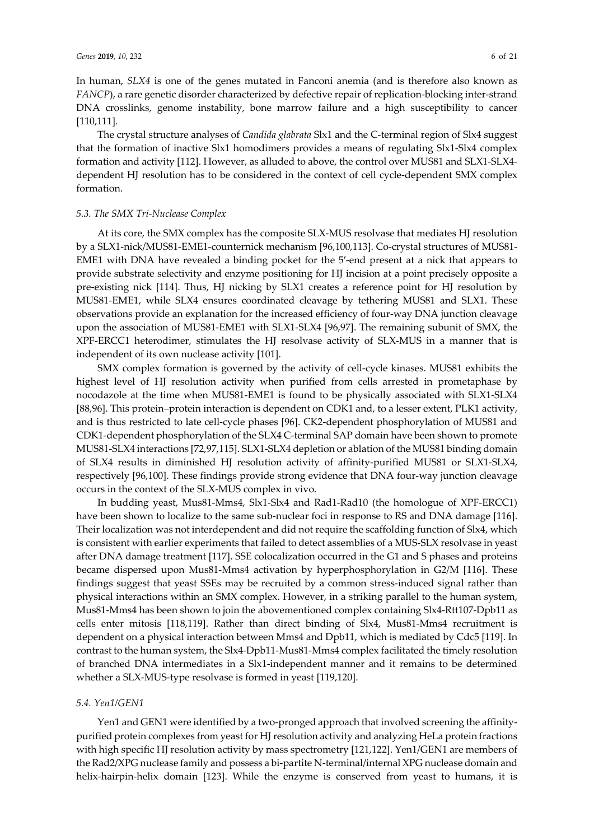In human, *SLX4* is one of the genes mutated in Fanconi anemia (and is therefore also known as *FANCP*), a rare genetic disorder characterized by defective repair of replication-blocking inter-strand DNA crosslinks, genome instability, bone marrow failure and a high susceptibility to cancer [110,111].

The crystal structure analyses of *Candida glabrata* Slx1 and the C-terminal region of Slx4 suggest that the formation of inactive Slx1 homodimers provides a means of regulating Slx1-Slx4 complex formation and activity [112]. However, as alluded to above, the control over MUS81 and SLX1-SLX4 dependent HJ resolution has to be considered in the context of cell cycle-dependent SMX complex formation.

#### *5.3. The SMX Tri-Nuclease Complex*

At its core, the SMX complex has the composite SLX-MUS resolvase that mediates HJ resolution by a SLX1-nick/MUS81-EME1-counternick mechanism [96,100,113]. Co-crystal structures of MUS81- EME1 with DNA have revealed a binding pocket for the 5′-end present at a nick that appears to provide substrate selectivity and enzyme positioning for HJ incision at a point precisely opposite a pre-existing nick [114]. Thus, HJ nicking by SLX1 creates a reference point for HJ resolution by MUS81-EME1, while SLX4 ensures coordinated cleavage by tethering MUS81 and SLX1. These observations provide an explanation for the increased efficiency of four-way DNA junction cleavage upon the association of MUS81-EME1 with SLX1-SLX4 [96,97]. The remaining subunit of SMX, the XPF-ERCC1 heterodimer, stimulates the HJ resolvase activity of SLX-MUS in a manner that is independent of its own nuclease activity [101].

SMX complex formation is governed by the activity of cell-cycle kinases. MUS81 exhibits the highest level of HJ resolution activity when purified from cells arrested in prometaphase by nocodazole at the time when MUS81-EME1 is found to be physically associated with SLX1-SLX4 [88,96]. This protein–protein interaction is dependent on CDK1 and, to a lesser extent, PLK1 activity, and is thus restricted to late cell-cycle phases [96]. CK2-dependent phosphorylation of MUS81 and CDK1-dependent phosphorylation of the SLX4 C-terminal SAP domain have been shown to promote MUS81-SLX4 interactions [72,97,115]. SLX1-SLX4 depletion or ablation of the MUS81 binding domain of SLX4 results in diminished HJ resolution activity of affinity-purified MUS81 or SLX1-SLX4, respectively [96,100]. These findings provide strong evidence that DNA four-way junction cleavage occurs in the context of the SLX-MUS complex in vivo.

In budding yeast, Mus81-Mms4, Slx1-Slx4 and Rad1-Rad10 (the homologue of XPF-ERCC1) have been shown to localize to the same sub-nuclear foci in response to RS and DNA damage [116]. Their localization was not interdependent and did not require the scaffolding function of Slx4, which is consistent with earlier experiments that failed to detect assemblies of a MUS-SLX resolvase in yeast after DNA damage treatment [117]. SSE colocalization occurred in the G1 and S phases and proteins became dispersed upon Mus81-Mms4 activation by hyperphosphorylation in G2/M [116]. These findings suggest that yeast SSEs may be recruited by a common stress-induced signal rather than physical interactions within an SMX complex. However, in a striking parallel to the human system, Mus81-Mms4 has been shown to join the abovementioned complex containing Slx4-Rtt107-Dpb11 as cells enter mitosis [118,119]. Rather than direct binding of Slx4, Mus81-Mms4 recruitment is dependent on a physical interaction between Mms4 and Dpb11, which is mediated by Cdc5 [119]. In contrast to the human system, the Slx4-Dpb11-Mus81-Mms4 complex facilitated the timely resolution of branched DNA intermediates in a Slx1-independent manner and it remains to be determined whether a SLX-MUS-type resolvase is formed in yeast [119,120].

#### *5.4. Yen1/GEN1*

Yen1 and GEN1 were identified by a two-pronged approach that involved screening the affinitypurified protein complexes from yeast for HJ resolution activity and analyzing HeLa protein fractions with high specific HJ resolution activity by mass spectrometry [121,122]. Yen1/GEN1 are members of the Rad2/XPG nuclease family and possess a bi-partite N-terminal/internal XPG nuclease domain and helix-hairpin-helix domain [123]. While the enzyme is conserved from yeast to humans, it is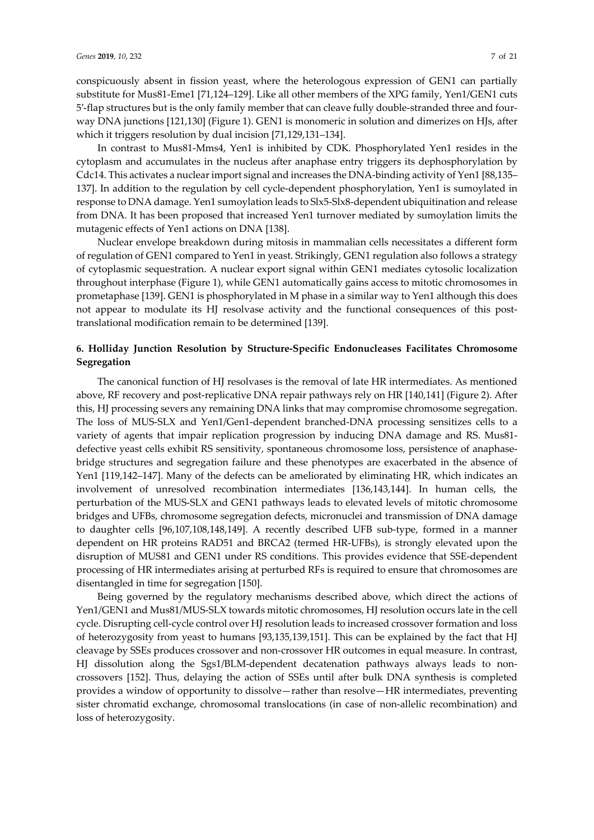conspicuously absent in fission yeast, where the heterologous expression of GEN1 can partially substitute for Mus81-Eme1 [71,124–129]. Like all other members of the XPG family, Yen1/GEN1 cuts 5′-flap structures but is the only family member that can cleave fully double-stranded three and fourway DNA junctions [121,130] (Figure 1). GEN1 is monomeric in solution and dimerizes on HJs, after which it triggers resolution by dual incision [71,129,131–134].

In contrast to Mus81-Mms4, Yen1 is inhibited by CDK. Phosphorylated Yen1 resides in the cytoplasm and accumulates in the nucleus after anaphase entry triggers its dephosphorylation by Cdc14. This activates a nuclear import signal and increases the DNA-binding activity of Yen1 [88,135– 137]. In addition to the regulation by cell cycle-dependent phosphorylation, Yen1 is sumoylated in response to DNA damage. Yen1 sumoylation leads to Slx5-Slx8-dependent ubiquitination and release from DNA. It has been proposed that increased Yen1 turnover mediated by sumoylation limits the mutagenic effects of Yen1 actions on DNA [138].

Nuclear envelope breakdown during mitosis in mammalian cells necessitates a different form of regulation of GEN1 compared to Yen1 in yeast. Strikingly, GEN1 regulation also follows a strategy of cytoplasmic sequestration. A nuclear export signal within GEN1 mediates cytosolic localization throughout interphase (Figure 1), while GEN1 automatically gains access to mitotic chromosomes in prometaphase [139]. GEN1 is phosphorylated in M phase in a similar way to Yen1 although this does not appear to modulate its HJ resolvase activity and the functional consequences of this posttranslational modification remain to be determined [139].

# **6. Holliday Junction Resolution by Structure-Specific Endonucleases Facilitates Chromosome Segregation**

The canonical function of HJ resolvases is the removal of late HR intermediates. As mentioned above, RF recovery and post-replicative DNA repair pathways rely on HR [140,141] (Figure 2). After this, HJ processing severs any remaining DNA links that may compromise chromosome segregation. The loss of MUS-SLX and Yen1/Gen1-dependent branched-DNA processing sensitizes cells to a variety of agents that impair replication progression by inducing DNA damage and RS. Mus81 defective yeast cells exhibit RS sensitivity, spontaneous chromosome loss, persistence of anaphasebridge structures and segregation failure and these phenotypes are exacerbated in the absence of Yen1 [119,142–147]. Many of the defects can be ameliorated by eliminating HR, which indicates an involvement of unresolved recombination intermediates [136,143,144]. In human cells, the perturbation of the MUS-SLX and GEN1 pathways leads to elevated levels of mitotic chromosome bridges and UFBs, chromosome segregation defects, micronuclei and transmission of DNA damage to daughter cells [96,107,108,148,149]. A recently described UFB sub-type, formed in a manner dependent on HR proteins RAD51 and BRCA2 (termed HR-UFBs), is strongly elevated upon the disruption of MUS81 and GEN1 under RS conditions. This provides evidence that SSE-dependent processing of HR intermediates arising at perturbed RFs is required to ensure that chromosomes are disentangled in time for segregation [150].

Being governed by the regulatory mechanisms described above, which direct the actions of Yen1/GEN1 and Mus81/MUS-SLX towards mitotic chromosomes, HJ resolution occurs late in the cell cycle. Disrupting cell-cycle control over HJ resolution leads to increased crossover formation and loss of heterozygosity from yeast to humans [93,135,139,151]. This can be explained by the fact that HJ cleavage by SSEs produces crossover and non-crossover HR outcomes in equal measure. In contrast, HJ dissolution along the Sgs1/BLM-dependent decatenation pathways always leads to noncrossovers [152]. Thus, delaying the action of SSEs until after bulk DNA synthesis is completed provides a window of opportunity to dissolve—rather than resolve—HR intermediates, preventing sister chromatid exchange, chromosomal translocations (in case of non-allelic recombination) and loss of heterozygosity.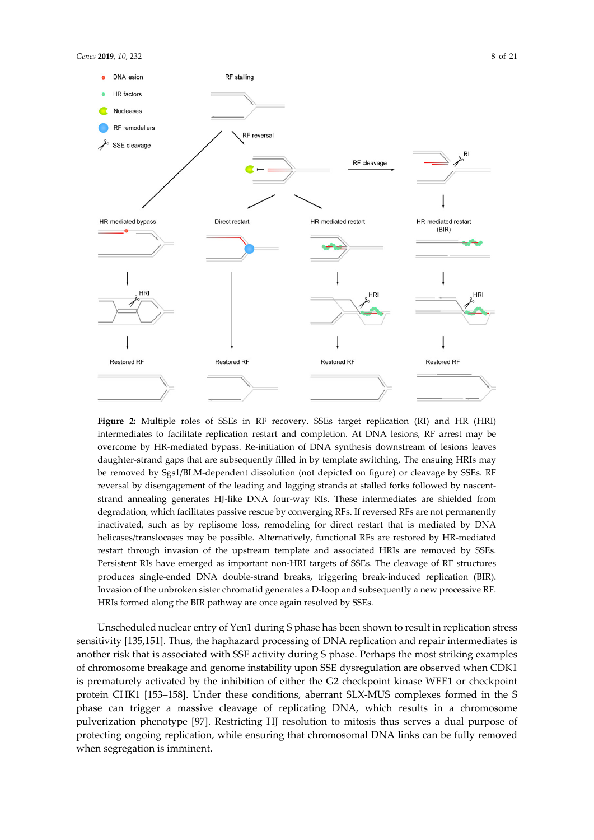

**Figure 2:** Multiple roles of SSEs in RF recovery. SSEs target replication (RI) and HR (HRI) intermediates to facilitate replication restart and completion. At DNA lesions, RF arrest may be overcome by HR-mediated bypass. Re-initiation of DNA synthesis downstream of lesions leaves daughter-strand gaps that are subsequently filled in by template switching. The ensuing HRIs may be removed by Sgs1/BLM-dependent dissolution (not depicted on figure) or cleavage by SSEs. RF reversal by disengagement of the leading and lagging strands at stalled forks followed by nascentstrand annealing generates HJ-like DNA four-way RIs. These intermediates are shielded from degradation, which facilitates passive rescue by converging RFs. If reversed RFs are not permanently inactivated, such as by replisome loss, remodeling for direct restart that is mediated by DNA helicases/translocases may be possible. Alternatively, functional RFs are restored by HR-mediated restart through invasion of the upstream template and associated HRIs are removed by SSEs. Persistent RIs have emerged as important non-HRI targets of SSEs. The cleavage of RF structures produces single-ended DNA double-strand breaks, triggering break-induced replication (BIR). Invasion of the unbroken sister chromatid generates a D-loop and subsequently a new processive RF. HRIs formed along the BIR pathway are once again resolved by SSEs.

Unscheduled nuclear entry of Yen1 during S phase has been shown to result in replication stress sensitivity [135,151]. Thus, the haphazard processing of DNA replication and repair intermediates is another risk that is associated with SSE activity during S phase. Perhaps the most striking examples of chromosome breakage and genome instability upon SSE dysregulation are observed when CDK1 is prematurely activated by the inhibition of either the G2 checkpoint kinase WEE1 or checkpoint protein CHK1 [153–158]. Under these conditions, aberrant SLX-MUS complexes formed in the S phase can trigger a massive cleavage of replicating DNA, which results in a chromosome pulverization phenotype [97]. Restricting HJ resolution to mitosis thus serves a dual purpose of protecting ongoing replication, while ensuring that chromosomal DNA links can be fully removed when segregation is imminent.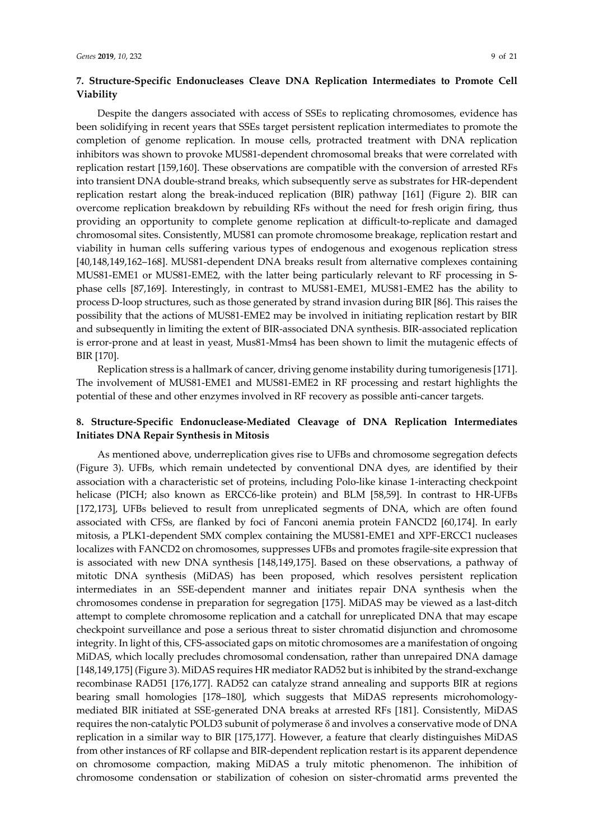## **7. Structure-Specific Endonucleases Cleave DNA Replication Intermediates to Promote Cell Viability**

Despite the dangers associated with access of SSEs to replicating chromosomes, evidence has been solidifying in recent years that SSEs target persistent replication intermediates to promote the completion of genome replication. In mouse cells, protracted treatment with DNA replication inhibitors was shown to provoke MUS81-dependent chromosomal breaks that were correlated with replication restart [159,160]. These observations are compatible with the conversion of arrested RFs into transient DNA double-strand breaks, which subsequently serve as substrates for HR-dependent replication restart along the break-induced replication (BIR) pathway [161] (Figure 2). BIR can overcome replication breakdown by rebuilding RFs without the need for fresh origin firing, thus providing an opportunity to complete genome replication at difficult-to-replicate and damaged chromosomal sites. Consistently, MUS81 can promote chromosome breakage, replication restart and viability in human cells suffering various types of endogenous and exogenous replication stress [40,148,149,162–168]. MUS81-dependent DNA breaks result from alternative complexes containing MUS81-EME1 or MUS81-EME2, with the latter being particularly relevant to RF processing in Sphase cells [87,169]. Interestingly, in contrast to MUS81-EME1, MUS81-EME2 has the ability to process D-loop structures, such as those generated by strand invasion during BIR [86]. This raises the possibility that the actions of MUS81-EME2 may be involved in initiating replication restart by BIR and subsequently in limiting the extent of BIR-associated DNA synthesis. BIR-associated replication is error-prone and at least in yeast, Mus81-Mms4 has been shown to limit the mutagenic effects of BIR [170].

Replication stress is a hallmark of cancer, driving genome instability during tumorigenesis [171]. The involvement of MUS81-EME1 and MUS81-EME2 in RF processing and restart highlights the potential of these and other enzymes involved in RF recovery as possible anti-cancer targets.

# **8. Structure-Specific Endonuclease-Mediated Cleavage of DNA Replication Intermediates Initiates DNA Repair Synthesis in Mitosis**

As mentioned above, underreplication gives rise to UFBs and chromosome segregation defects (Figure 3). UFBs, which remain undetected by conventional DNA dyes, are identified by their association with a characteristic set of proteins, including Polo-like kinase 1-interacting checkpoint helicase (PICH; also known as ERCC6-like protein) and BLM [58,59]. In contrast to HR-UFBs [172,173], UFBs believed to result from unreplicated segments of DNA, which are often found associated with CFSs, are flanked by foci of Fanconi anemia protein FANCD2 [60,174]. In early mitosis, a PLK1-dependent SMX complex containing the MUS81-EME1 and XPF-ERCC1 nucleases localizes with FANCD2 on chromosomes, suppresses UFBs and promotes fragile-site expression that is associated with new DNA synthesis [148,149,175]. Based on these observations, a pathway of mitotic DNA synthesis (MiDAS) has been proposed, which resolves persistent replication intermediates in an SSE-dependent manner and initiates repair DNA synthesis when the chromosomes condense in preparation for segregation [175]. MiDAS may be viewed as a last-ditch attempt to complete chromosome replication and a catchall for unreplicated DNA that may escape checkpoint surveillance and pose a serious threat to sister chromatid disjunction and chromosome integrity. In light of this, CFS-associated gaps on mitotic chromosomes are a manifestation of ongoing MiDAS, which locally precludes chromosomal condensation, rather than unrepaired DNA damage [148,149,175] (Figure 3). MiDAS requires HR mediator RAD52 but is inhibited by the strand-exchange recombinase RAD51 [176,177]. RAD52 can catalyze strand annealing and supports BIR at regions bearing small homologies [178–180], which suggests that MiDAS represents microhomologymediated BIR initiated at SSE-generated DNA breaks at arrested RFs [181]. Consistently, MiDAS requires the non-catalytic POLD3 subunit of polymerase  $\delta$  and involves a conservative mode of DNA replication in a similar way to BIR [175,177]. However, a feature that clearly distinguishes MiDAS from other instances of RF collapse and BIR-dependent replication restart is its apparent dependence on chromosome compaction, making MiDAS a truly mitotic phenomenon. The inhibition of chromosome condensation or stabilization of cohesion on sister-chromatid arms prevented the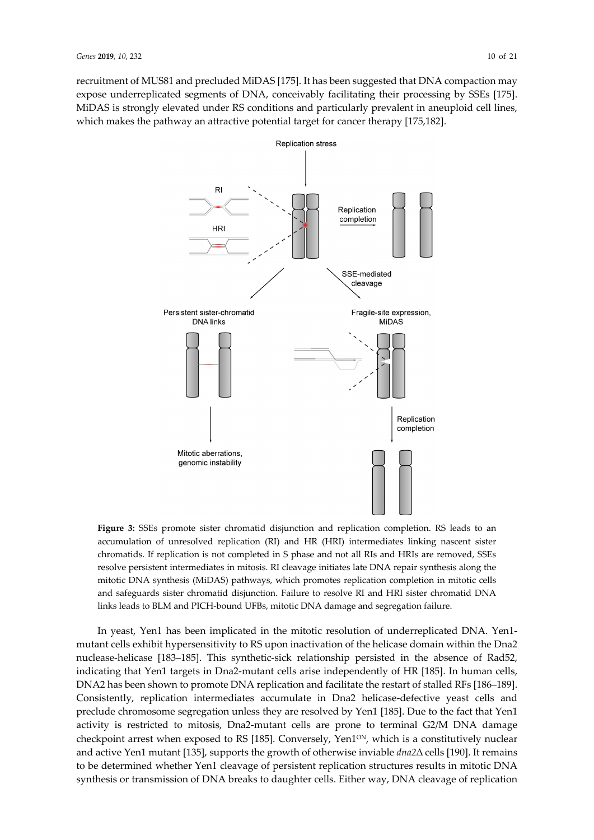recruitment of MUS81 and precluded MiDAS [175]. It has been suggested that DNA compaction may expose underreplicated segments of DNA, conceivably facilitating their processing by SSEs [175]. MiDAS is strongly elevated under RS conditions and particularly prevalent in aneuploid cell lines, which makes the pathway an attractive potential target for cancer therapy [175,182].



**Figure 3:** SSEs promote sister chromatid disjunction and replication completion. RS leads to an accumulation of unresolved replication (RI) and HR (HRI) intermediates linking nascent sister chromatids. If replication is not completed in S phase and not all RIs and HRIs are removed, SSEs resolve persistent intermediates in mitosis. RI cleavage initiates late DNA repair synthesis along the mitotic DNA synthesis (MiDAS) pathways, which promotes replication completion in mitotic cells and safeguards sister chromatid disjunction. Failure to resolve RI and HRI sister chromatid DNA links leads to BLM and PICH-bound UFBs, mitotic DNA damage and segregation failure.

In yeast, Yen1 has been implicated in the mitotic resolution of underreplicated DNA. Yen1 mutant cells exhibit hypersensitivity to RS upon inactivation of the helicase domain within the Dna2 nuclease-helicase [183–185]. This synthetic-sick relationship persisted in the absence of Rad52, indicating that Yen1 targets in Dna2-mutant cells arise independently of HR [185]. In human cells, DNA2 has been shown to promote DNA replication and facilitate the restart of stalled RFs [186–189]. Consistently, replication intermediates accumulate in Dna2 helicase-defective yeast cells and preclude chromosome segregation unless they are resolved by Yen1 [185]. Due to the fact that Yen1 activity is restricted to mitosis, Dna2-mutant cells are prone to terminal G2/M DNA damage checkpoint arrest when exposed to RS [185]. Conversely, Yen1<sup>oN</sup>, which is a constitutively nuclear and active Yen1 mutant [135], supports the growth of otherwise inviable *dna2*∆ cells [190]. It remains to be determined whether Yen1 cleavage of persistent replication structures results in mitotic DNA synthesis or transmission of DNA breaks to daughter cells. Either way, DNA cleavage of replication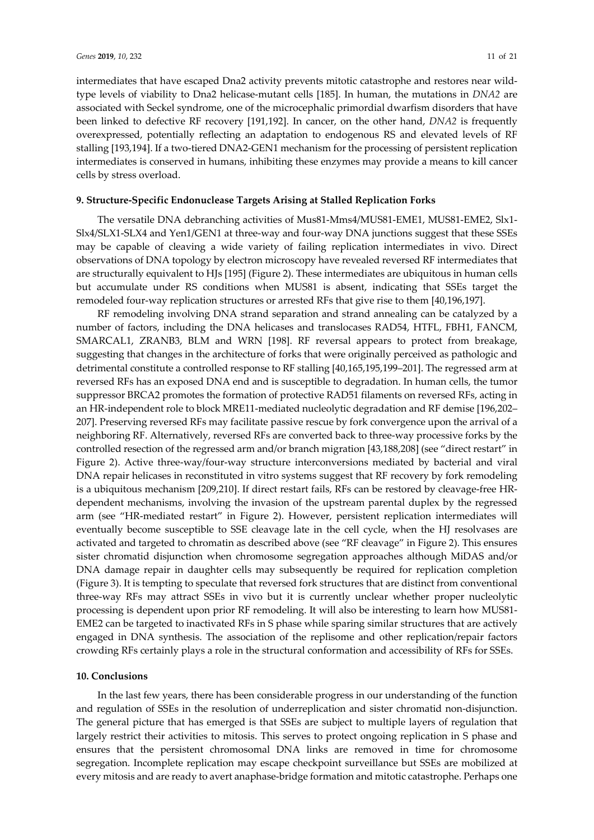intermediates that have escaped Dna2 activity prevents mitotic catastrophe and restores near wildtype levels of viability to Dna2 helicase-mutant cells [185]. In human, the mutations in *DNA2* are associated with Seckel syndrome, one of the microcephalic primordial dwarfism disorders that have been linked to defective RF recovery [191,192]. In cancer, on the other hand, *DNA2* is frequently overexpressed, potentially reflecting an adaptation to endogenous RS and elevated levels of RF stalling [193,194]. If a two-tiered DNA2-GEN1 mechanism for the processing of persistent replication intermediates is conserved in humans, inhibiting these enzymes may provide a means to kill cancer cells by stress overload.

#### **9. Structure-Specific Endonuclease Targets Arising at Stalled Replication Forks**

The versatile DNA debranching activities of Mus81-Mms4/MUS81-EME1, MUS81-EME2, Slx1- Slx4/SLX1-SLX4 and Yen1/GEN1 at three-way and four-way DNA junctions suggest that these SSEs may be capable of cleaving a wide variety of failing replication intermediates in vivo. Direct observations of DNA topology by electron microscopy have revealed reversed RF intermediates that are structurally equivalent to HJs [195] (Figure 2). These intermediates are ubiquitous in human cells but accumulate under RS conditions when MUS81 is absent, indicating that SSEs target the remodeled four-way replication structures or arrested RFs that give rise to them [40,196,197].

RF remodeling involving DNA strand separation and strand annealing can be catalyzed by a number of factors, including the DNA helicases and translocases RAD54, HTFL, FBH1, FANCM, SMARCAL1, ZRANB3, BLM and WRN [198]. RF reversal appears to protect from breakage, suggesting that changes in the architecture of forks that were originally perceived as pathologic and detrimental constitute a controlled response to RF stalling [40,165,195,199–201]. The regressed arm at reversed RFs has an exposed DNA end and is susceptible to degradation. In human cells, the tumor suppressor BRCA2 promotes the formation of protective RAD51 filaments on reversed RFs, acting in an HR-independent role to block MRE11-mediated nucleolytic degradation and RF demise [196,202– 207]. Preserving reversed RFs may facilitate passive rescue by fork convergence upon the arrival of a neighboring RF. Alternatively, reversed RFs are converted back to three-way processive forks by the controlled resection of the regressed arm and/or branch migration [43,188,208] (see "direct restart" in Figure 2). Active three-way/four-way structure interconversions mediated by bacterial and viral DNA repair helicases in reconstituted in vitro systems suggest that RF recovery by fork remodeling is a ubiquitous mechanism [209,210]. If direct restart fails, RFs can be restored by cleavage-free HRdependent mechanisms, involving the invasion of the upstream parental duplex by the regressed arm (see "HR-mediated restart" in Figure 2). However, persistent replication intermediates will eventually become susceptible to SSE cleavage late in the cell cycle, when the HJ resolvases are activated and targeted to chromatin as described above (see "RF cleavage" in Figure 2). This ensures sister chromatid disjunction when chromosome segregation approaches although MiDAS and/or DNA damage repair in daughter cells may subsequently be required for replication completion (Figure 3). It is tempting to speculate that reversed fork structures that are distinct from conventional three-way RFs may attract SSEs in vivo but it is currently unclear whether proper nucleolytic processing is dependent upon prior RF remodeling. It will also be interesting to learn how MUS81- EME2 can be targeted to inactivated RFs in S phase while sparing similar structures that are actively engaged in DNA synthesis. The association of the replisome and other replication/repair factors crowding RFs certainly plays a role in the structural conformation and accessibility of RFs for SSEs.

#### **10. Conclusions**

In the last few years, there has been considerable progress in our understanding of the function and regulation of SSEs in the resolution of underreplication and sister chromatid non-disjunction. The general picture that has emerged is that SSEs are subject to multiple layers of regulation that largely restrict their activities to mitosis. This serves to protect ongoing replication in S phase and ensures that the persistent chromosomal DNA links are removed in time for chromosome segregation. Incomplete replication may escape checkpoint surveillance but SSEs are mobilized at every mitosis and are ready to avert anaphase-bridge formation and mitotic catastrophe. Perhaps one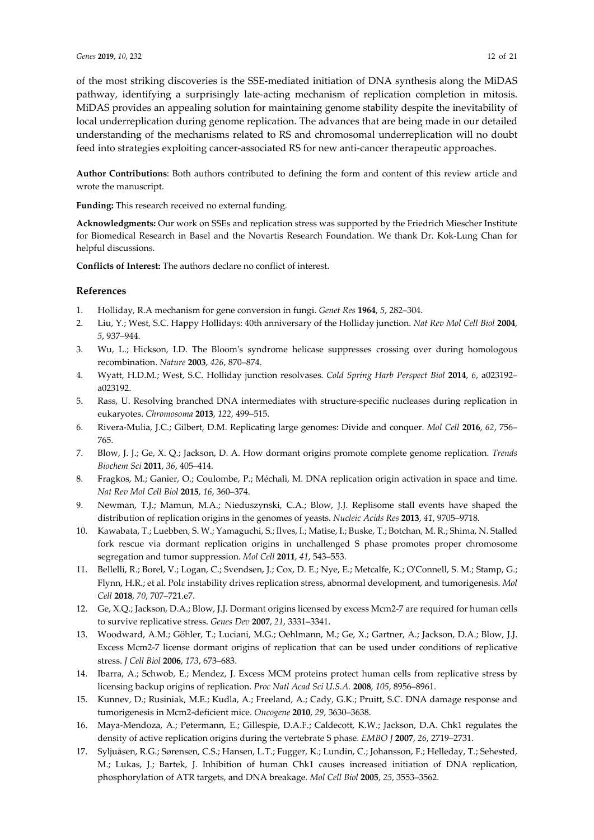of the most striking discoveries is the SSE-mediated initiation of DNA synthesis along the MiDAS pathway, identifying a surprisingly late-acting mechanism of replication completion in mitosis. MiDAS provides an appealing solution for maintaining genome stability despite the inevitability of local underreplication during genome replication. The advances that are being made in our detailed understanding of the mechanisms related to RS and chromosomal underreplication will no doubt feed into strategies exploiting cancer-associated RS for new anti-cancer therapeutic approaches.

**Author Contributions**: Both authors contributed to defining the form and content of this review article and wrote the manuscript.

**Funding:** This research received no external funding.

**Acknowledgments:** Our work on SSEs and replication stress was supported by the Friedrich Miescher Institute for Biomedical Research in Basel and the Novartis Research Foundation. We thank Dr. Kok-Lung Chan for helpful discussions.

**Conflicts of Interest:** The authors declare no conflict of interest.

#### **References**

- 1. Holliday, R.A mechanism for gene conversion in fungi. *Genet Res* **1964**, *5*, 282–304.
- 2. Liu, Y.; West, S.C. Happy Hollidays: 40th anniversary of the Holliday junction. *Nat Rev Mol Cell Biol* **2004**, *5*, 937–944.
- 3. Wu, L.; Hickson, I.D. The Bloom's syndrome helicase suppresses crossing over during homologous recombination. *Nature* **2003**, *426*, 870–874.
- 4. Wyatt, H.D.M.; West, S.C. Holliday junction resolvases. *Cold Spring Harb Perspect Biol* **2014**, *6*, a023192– a023192.
- 5. Rass, U. Resolving branched DNA intermediates with structure-specific nucleases during replication in eukaryotes. *Chromosoma* **2013**, *122*, 499–515.
- 6. Rivera-Mulia, J.C.; Gilbert, D.M. Replicating large genomes: Divide and conquer. *Mol Cell* **2016**, *62*, 756– 765.
- 7. Blow, J. J.; Ge, X. Q.; Jackson, D. A. How dormant origins promote complete genome replication. *Trends Biochem Sci* **2011**, *36*, 405–414.
- 8. Fragkos, M.; Ganier, O.; Coulombe, P.; Méchali, M. DNA replication origin activation in space and time. *Nat Rev Mol Cell Biol* **2015**, *16*, 360–374.
- 9. Newman, T.J.; Mamun, M.A.; Nieduszynski, C.A.; Blow, J.J. Replisome stall events have shaped the distribution of replication origins in the genomes of yeasts. *Nucleic Acids Res* **2013**, *41*, 9705–9718.
- 10. Kawabata, T.; Luebben, S. W.; Yamaguchi, S.; Ilves, I.; Matise, I.; Buske, T.; Botchan, M. R.; Shima, N. Stalled fork rescue via dormant replication origins in unchallenged S phase promotes proper chromosome segregation and tumor suppression. *Mol Cell* **2011**, *41*, 543–553.
- 11. Bellelli, R.; Borel, V.; Logan, C.; Svendsen, J.; Cox, D. E.; Nye, E.; Metcalfe, K.; O'Connell, S. M.; Stamp, G.; Flynn, H.R.; et al. Polε instability drives replication stress, abnormal development, and tumorigenesis. *Mol Cell* **2018**, *70*, 707–721.e7.
- 12. Ge, X.Q.; Jackson, D.A.; Blow, J.J. Dormant origins licensed by excess Mcm2-7 are required for human cells to survive replicative stress. *Genes Dev* **2007**, *21*, 3331–3341.
- 13. Woodward, A.M.; Göhler, T.; Luciani, M.G.; Oehlmann, M.; Ge, X.; Gartner, A.; Jackson, D.A.; Blow, J.J. Excess Mcm2-7 license dormant origins of replication that can be used under conditions of replicative stress. *J Cell Biol* **2006**, *173*, 673–683.
- 14. Ibarra, A.; Schwob, E.; Mendez, J. Excess MCM proteins protect human cells from replicative stress by licensing backup origins of replication. *Proc Natl Acad Sci U.S.A.* **2008**, *105*, 8956–8961.
- 15. Kunnev, D.; Rusiniak, M.E.; Kudla, A.; Freeland, A.; Cady, G.K.; Pruitt, S.C. DNA damage response and tumorigenesis in Mcm2-deficient mice. *Oncogene* **2010**, *29*, 3630–3638.
- 16. Maya-Mendoza, A.; Petermann, E.; Gillespie, D.A.F.; Caldecott, K.W.; Jackson, D.A. Chk1 regulates the density of active replication origins during the vertebrate S phase. *EMBO J* **2007**, *26*, 2719–2731.
- 17. Syljuåsen, R.G.; Sørensen, C.S.; Hansen, L.T.; Fugger, K.; Lundin, C.; Johansson, F.; Helleday, T.; Sehested, M.; Lukas, J.; Bartek, J. Inhibition of human Chk1 causes increased initiation of DNA replication, phosphorylation of ATR targets, and DNA breakage. *Mol Cell Biol* **2005**, *25*, 3553–3562.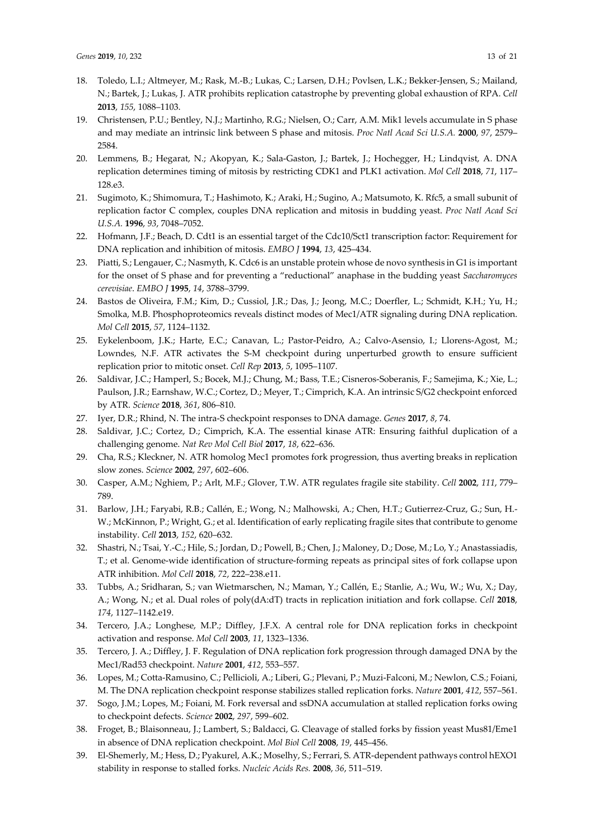- 18. Toledo, L.I.; Altmeyer, M.; Rask, M.-B.; Lukas, C.; Larsen, D.H.; Povlsen, L.K.; Bekker-Jensen, S.; Mailand, N.; Bartek, J.; Lukas, J. ATR prohibits replication catastrophe by preventing global exhaustion of RPA. *Cell* **2013**, *155*, 1088–1103.
- 19. Christensen, P.U.; Bentley, N.J.; Martinho, R.G.; Nielsen, O.; Carr, A.M. Mik1 levels accumulate in S phase and may mediate an intrinsic link between S phase and mitosis. *Proc Natl Acad Sci U.S.A.* **2000**, *97*, 2579– 2584.
- 20. Lemmens, B.; Hegarat, N.; Akopyan, K.; Sala-Gaston, J.; Bartek, J.; Hochegger, H.; Lindqvist, A. DNA replication determines timing of mitosis by restricting CDK1 and PLK1 activation. *Mol Cell* **2018**, *71*, 117– 128.e3.
- 21. Sugimoto, K.; Shimomura, T.; Hashimoto, K.; Araki, H.; Sugino, A.; Matsumoto, K. Rfc5, a small subunit of replication factor C complex, couples DNA replication and mitosis in budding yeast. *Proc Natl Acad Sci U.S.A.* **1996**, *93*, 7048–7052.
- 22. Hofmann, J.F.; Beach, D. Cdt1 is an essential target of the Cdc10/Sct1 transcription factor: Requirement for DNA replication and inhibition of mitosis. *EMBO J* **1994**, *13*, 425–434.
- 23. Piatti, S.; Lengauer, C.; Nasmyth, K. Cdc6 is an unstable protein whose de novo synthesis in G1 is important for the onset of S phase and for preventing a "reductional" anaphase in the budding yeast *Saccharomyces cerevisiae*. *EMBO J* **1995**, *14*, 3788–3799.
- 24. Bastos de Oliveira, F.M.; Kim, D.; Cussiol, J.R.; Das, J.; Jeong, M.C.; Doerfler, L.; Schmidt, K.H.; Yu, H.; Smolka, M.B. Phosphoproteomics reveals distinct modes of Mec1/ATR signaling during DNA replication. *Mol Cell* **2015**, *57*, 1124–1132.
- 25. Eykelenboom, J.K.; Harte, E.C.; Canavan, L.; Pastor-Peidro, A.; Calvo-Asensio, I.; Llorens-Agost, M.; Lowndes, N.F. ATR activates the S-M checkpoint during unperturbed growth to ensure sufficient replication prior to mitotic onset. *Cell Rep* **2013**, *5*, 1095–1107.
- 26. Saldivar, J.C.; Hamperl, S.; Bocek, M.J.; Chung, M.; Bass, T.E.; Cisneros-Soberanis, F.; Samejima, K.; Xie, L.; Paulson, J.R.; Earnshaw, W.C.; Cortez, D.; Meyer, T.; Cimprich, K.A. An intrinsic S/G2 checkpoint enforced by ATR. *Science* **2018**, *361*, 806–810.
- 27. Iyer, D.R.; Rhind, N. The intra-S checkpoint responses to DNA damage. *Genes* **2017**, *8*, 74.
- 28. Saldivar, J.C.; Cortez, D.; Cimprich, K.A. The essential kinase ATR: Ensuring faithful duplication of a challenging genome. *Nat Rev Mol Cell Biol* **2017**, *18*, 622–636.
- 29. Cha, R.S.; Kleckner, N. ATR homolog Mec1 promotes fork progression, thus averting breaks in replication slow zones. *Science* **2002**, *297*, 602–606.
- 30. Casper, A.M.; Nghiem, P.; Arlt, M.F.; Glover, T.W. ATR regulates fragile site stability. *Cell* **2002**, *111*, 779– 789.
- 31. Barlow, J.H.; Faryabi, R.B.; Callén, E.; Wong, N.; Malhowski, A.; Chen, H.T.; Gutierrez-Cruz, G.; Sun, H.- W.; McKinnon, P.; Wright, G.; et al. Identification of early replicating fragile sites that contribute to genome instability. *Cell* **2013**, *152*, 620–632.
- 32. Shastri, N.; Tsai, Y.-C.; Hile, S.; Jordan, D.; Powell, B.; Chen, J.; Maloney, D.; Dose, M.; Lo, Y.; Anastassiadis, T.; et al. Genome-wide identification of structure-forming repeats as principal sites of fork collapse upon ATR inhibition. *Mol Cell* **2018**, *72*, 222–238.e11.
- 33. Tubbs, A.; Sridharan, S.; van Wietmarschen, N.; Maman, Y.; Callén, E.; Stanlie, A.; Wu, W.; Wu, X.; Day, A.; Wong, N.; et al. Dual roles of poly(dA:dT) tracts in replication initiation and fork collapse. *Cell* **2018**, *174*, 1127–1142.e19.
- 34. Tercero, J.A.; Longhese, M.P.; Diffley, J.F.X. A central role for DNA replication forks in checkpoint activation and response. *Mol Cell* **2003**, *11*, 1323–1336.
- 35. Tercero, J. A.; Diffley, J. F. Regulation of DNA replication fork progression through damaged DNA by the Mec1/Rad53 checkpoint. *Nature* **2001**, *412*, 553–557.
- 36. Lopes, M.; Cotta-Ramusino, C.; Pellicioli, A.; Liberi, G.; Plevani, P.; Muzi-Falconi, M.; Newlon, C.S.; Foiani, M. The DNA replication checkpoint response stabilizes stalled replication forks. *Nature* **2001**, *412*, 557–561.
- 37. Sogo, J.M.; Lopes, M.; Foiani, M. Fork reversal and ssDNA accumulation at stalled replication forks owing to checkpoint defects. *Science* **2002**, *297*, 599–602.
- 38. Froget, B.; Blaisonneau, J.; Lambert, S.; Baldacci, G. Cleavage of stalled forks by fission yeast Mus81/Eme1 in absence of DNA replication checkpoint. *Mol Biol Cell* **2008**, *19*, 445–456.
- 39. El-Shemerly, M.; Hess, D.; Pyakurel, A.K.; Moselhy, S.; Ferrari, S. ATR-dependent pathways control hEXO1 stability in response to stalled forks. *Nucleic Acids Res.* **2008**, *36*, 511–519.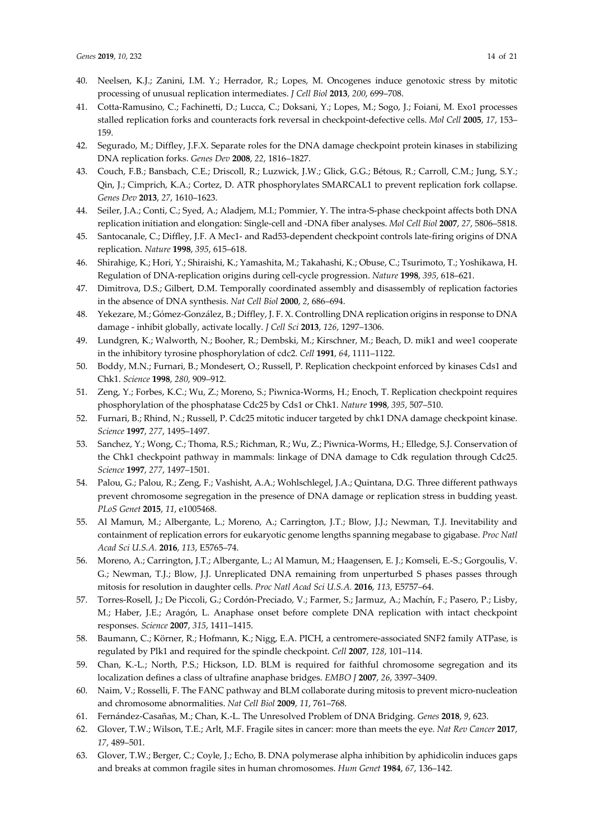- 40. Neelsen, K.J.; Zanini, I.M. Y.; Herrador, R.; Lopes, M. Oncogenes induce genotoxic stress by mitotic processing of unusual replication intermediates. *J Cell Biol* **2013**, *200*, 699–708.
- 41. Cotta-Ramusino, C.; Fachinetti, D.; Lucca, C.; Doksani, Y.; Lopes, M.; Sogo, J.; Foiani, M. Exo1 processes stalled replication forks and counteracts fork reversal in checkpoint-defective cells. *Mol Cell* **2005**, *17*, 153– 159.
- 42. Segurado, M.; Diffley, J.F.X. Separate roles for the DNA damage checkpoint protein kinases in stabilizing DNA replication forks. *Genes Dev* **2008**, *22*, 1816–1827.
- 43. Couch, F.B.; Bansbach, C.E.; Driscoll, R.; Luzwick, J.W.; Glick, G.G.; Bétous, R.; Carroll, C.M.; Jung, S.Y.; Qin, J.; Cimprich, K.A.; Cortez, D. ATR phosphorylates SMARCAL1 to prevent replication fork collapse. *Genes Dev* **2013**, *27*, 1610–1623.
- 44. Seiler, J.A.; Conti, C.; Syed, A.; Aladjem, M.I.; Pommier, Y. The intra-S-phase checkpoint affects both DNA replication initiation and elongation: Single-cell and -DNA fiber analyses. *Mol Cell Biol* **2007**, *27*, 5806–5818.
- 45. Santocanale, C.; Diffley, J.F. A Mec1- and Rad53-dependent checkpoint controls late-firing origins of DNA replication. *Nature* **1998**, *395*, 615–618.
- 46. Shirahige, K.; Hori, Y.; Shiraishi, K.; Yamashita, M.; Takahashi, K.; Obuse, C.; Tsurimoto, T.; Yoshikawa, H. Regulation of DNA-replication origins during cell-cycle progression. *Nature* **1998**, *395*, 618–621.
- 47. Dimitrova, D.S.; Gilbert, D.M. Temporally coordinated assembly and disassembly of replication factories in the absence of DNA synthesis. *Nat Cell Biol* **2000**, *2*, 686–694.
- 48. Yekezare, M.; Gómez-González, B.; Diffley, J. F. X. Controlling DNA replication origins in response to DNA damage - inhibit globally, activate locally. *J Cell Sci* **2013**, *126*, 1297–1306.
- 49. Lundgren, K.; Walworth, N.; Booher, R.; Dembski, M.; Kirschner, M.; Beach, D. mik1 and wee1 cooperate in the inhibitory tyrosine phosphorylation of cdc2. *Cell* **1991**, *64*, 1111–1122.
- 50. Boddy, M.N.; Furnari, B.; Mondesert, O.; Russell, P. Replication checkpoint enforced by kinases Cds1 and Chk1. *Science* **1998**, *280*, 909–912.
- 51. Zeng, Y.; Forbes, K.C.; Wu, Z.; Moreno, S.; Piwnica-Worms, H.; Enoch, T. Replication checkpoint requires phosphorylation of the phosphatase Cdc25 by Cds1 or Chk1. *Nature* **1998**, *395*, 507–510.
- 52. Furnari, B.; Rhind, N.; Russell, P. Cdc25 mitotic inducer targeted by chk1 DNA damage checkpoint kinase. *Science* **1997**, *277*, 1495–1497.
- 53. Sanchez, Y.; Wong, C.; Thoma, R.S.; Richman, R.; Wu, Z.; Piwnica-Worms, H.; Elledge, S.J. Conservation of the Chk1 checkpoint pathway in mammals: linkage of DNA damage to Cdk regulation through Cdc25. *Science* **1997**, *277*, 1497–1501.
- 54. Palou, G.; Palou, R.; Zeng, F.; Vashisht, A.A.; Wohlschlegel, J.A.; Quintana, D.G. Three different pathways prevent chromosome segregation in the presence of DNA damage or replication stress in budding yeast. *PLoS Genet* **2015**, *11*, e1005468.
- 55. Al Mamun, M.; Albergante, L.; Moreno, A.; Carrington, J.T.; Blow, J.J.; Newman, T.J. Inevitability and containment of replication errors for eukaryotic genome lengths spanning megabase to gigabase. *Proc Natl Acad Sci U.S.A.* **2016**, *113*, E5765–74.
- 56. Moreno, A.; Carrington, J.T.; Albergante, L.; Al Mamun, M.; Haagensen, E. J.; Komseli, E.-S.; Gorgoulis, V. G.; Newman, T.J.; Blow, J.J. Unreplicated DNA remaining from unperturbed S phases passes through mitosis for resolution in daughter cells. *Proc Natl Acad Sci U.S.A.* **2016**, *113*, E5757–64.
- 57. Torres-Rosell, J.; De Piccoli, G.; Cordón-Preciado, V.; Farmer, S.; Jarmuz, A.; Machín, F.; Pasero, P.; Lisby, M.; Haber, J.E.; Aragón, L. Anaphase onset before complete DNA replication with intact checkpoint responses. *Science* **2007**, *315*, 1411–1415.
- 58. Baumann, C.; Körner, R.; Hofmann, K.; Nigg, E.A. PICH, a centromere-associated SNF2 family ATPase, is regulated by Plk1 and required for the spindle checkpoint. *Cell* **2007**, *128*, 101–114.
- 59. Chan, K.-L.; North, P.S.; Hickson, I.D. BLM is required for faithful chromosome segregation and its localization defines a class of ultrafine anaphase bridges. *EMBO J* **2007**, *26*, 3397–3409.
- 60. Naim, V.; Rosselli, F. The FANC pathway and BLM collaborate during mitosis to prevent micro-nucleation and chromosome abnormalities. *Nat Cell Biol* **2009**, *11*, 761–768.
- 61. Fernández-Casañas, M.; Chan, K.-L. The Unresolved Problem of DNA Bridging. *Genes* **2018**, *9*, 623.
- 62. Glover, T.W.; Wilson, T.E.; Arlt, M.F. Fragile sites in cancer: more than meets the eye. *Nat Rev Cancer* **2017**, *17*, 489–501.
- 63. Glover, T.W.; Berger, C.; Coyle, J.; Echo, B. DNA polymerase alpha inhibition by aphidicolin induces gaps and breaks at common fragile sites in human chromosomes. *Hum Genet* **1984**, *67*, 136–142.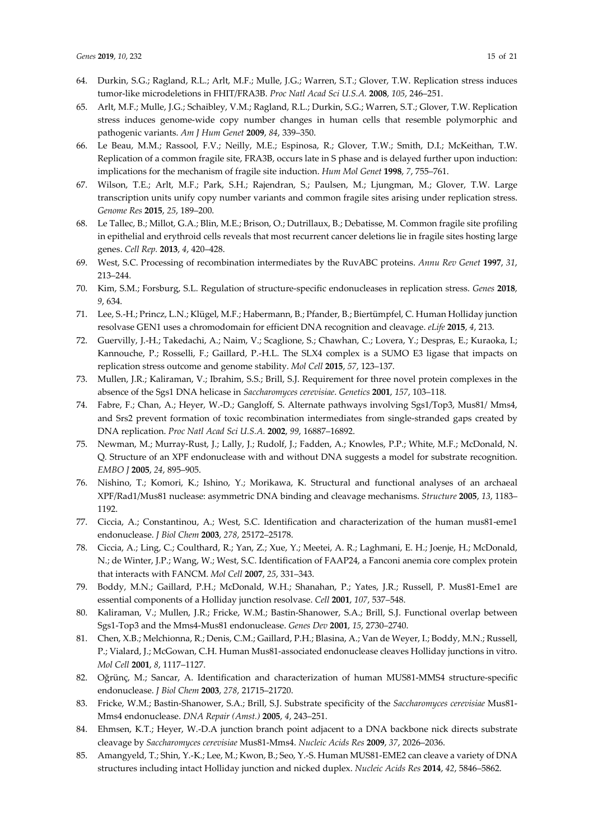- 64. Durkin, S.G.; Ragland, R.L.; Arlt, M.F.; Mulle, J.G.; Warren, S.T.; Glover, T.W. Replication stress induces tumor-like microdeletions in FHIT/FRA3B. *Proc Natl Acad Sci U.S.A.* **2008**, *105*, 246–251.
- 65. Arlt, M.F.; Mulle, J.G.; Schaibley, V.M.; Ragland, R.L.; Durkin, S.G.; Warren, S.T.; Glover, T.W. Replication stress induces genome-wide copy number changes in human cells that resemble polymorphic and pathogenic variants. *Am J Hum Genet* **2009**, *84*, 339–350.
- 66. Le Beau, M.M.; Rassool, F.V.; Neilly, M.E.; Espinosa, R.; Glover, T.W.; Smith, D.I.; McKeithan, T.W. Replication of a common fragile site, FRA3B, occurs late in S phase and is delayed further upon induction: implications for the mechanism of fragile site induction. *Hum Mol Genet* **1998**, *7*, 755–761.
- 67. Wilson, T.E.; Arlt, M.F.; Park, S.H.; Rajendran, S.; Paulsen, M.; Ljungman, M.; Glover, T.W. Large transcription units unify copy number variants and common fragile sites arising under replication stress. *Genome Res* **2015**, *25*, 189–200.
- 68. Le Tallec, B.; Millot, G.A.; Blin, M.E.; Brison, O.; Dutrillaux, B.; Debatisse, M. Common fragile site profiling in epithelial and erythroid cells reveals that most recurrent cancer deletions lie in fragile sites hosting large genes. *Cell Rep.* **2013**, *4*, 420–428.
- 69. West, S.C. Processing of recombination intermediates by the RuvABC proteins. *Annu Rev Genet* **1997**, *31*, 213–244.
- 70. Kim, S.M.; Forsburg, S.L. Regulation of structure-specific endonucleases in replication stress. *Genes* **2018**, *9*, 634.
- 71. Lee, S.-H.; Princz, L.N.; Klügel, M.F.; Habermann, B.; Pfander, B.; Biertümpfel, C. Human Holliday junction resolvase GEN1 uses a chromodomain for efficient DNA recognition and cleavage. *eLife* **2015**, *4*, 213.
- 72. Guervilly, J.-H.; Takedachi, A.; Naim, V.; Scaglione, S.; Chawhan, C.; Lovera, Y.; Despras, E.; Kuraoka, I.; Kannouche, P.; Rosselli, F.; Gaillard, P.-H.L. The SLX4 complex is a SUMO E3 ligase that impacts on replication stress outcome and genome stability. *Mol Cell* **2015**, *57*, 123–137.
- 73. Mullen, J.R.; Kaliraman, V.; Ibrahim, S.S.; Brill, S.J. Requirement for three novel protein complexes in the absence of the Sgs1 DNA helicase in *Saccharomyces cerevisiae*. *Genetics* **2001**, *157*, 103–118.
- 74. Fabre, F.; Chan, A.; Heyer, W.-D.; Gangloff, S. Alternate pathways involving Sgs1/Top3, Mus81/ Mms4, and Srs2 prevent formation of toxic recombination intermediates from single-stranded gaps created by DNA replication. *Proc Natl Acad Sci U.S.A.* **2002**, *99*, 16887–16892.
- 75. Newman, M.; Murray-Rust, J.; Lally, J.; Rudolf, J.; Fadden, A.; Knowles, P.P.; White, M.F.; McDonald, N. Q. Structure of an XPF endonuclease with and without DNA suggests a model for substrate recognition. *EMBO J* **2005**, *24*, 895–905.
- 76. Nishino, T.; Komori, K.; Ishino, Y.; Morikawa, K. Structural and functional analyses of an archaeal XPF/Rad1/Mus81 nuclease: asymmetric DNA binding and cleavage mechanisms. *Structure* **2005**, *13*, 1183– 1192.
- 77. Ciccia, A.; Constantinou, A.; West, S.C. Identification and characterization of the human mus81-eme1 endonuclease. *J Biol Chem* **2003**, *278*, 25172–25178.
- 78. Ciccia, A.; Ling, C.; Coulthard, R.; Yan, Z.; Xue, Y.; Meetei, A. R.; Laghmani, E. H.; Joenje, H.; McDonald, N.; de Winter, J.P.; Wang, W.; West, S.C. Identification of FAAP24, a Fanconi anemia core complex protein that interacts with FANCM. *Mol Cell* **2007**, *25*, 331–343.
- 79. Boddy, M.N.; Gaillard, P.H.; McDonald, W.H.; Shanahan, P.; Yates, J.R.; Russell, P. Mus81-Eme1 are essential components of a Holliday junction resolvase. *Cell* **2001**, *107*, 537–548.
- 80. Kaliraman, V.; Mullen, J.R.; Fricke, W.M.; Bastin-Shanower, S.A.; Brill, S.J. Functional overlap between Sgs1-Top3 and the Mms4-Mus81 endonuclease. *Genes Dev* **2001**, *15*, 2730–2740.
- 81. Chen, X.B.; Melchionna, R.; Denis, C.M.; Gaillard, P.H.; Blasina, A.; Van de Weyer, I.; Boddy, M.N.; Russell, P.; Vialard, J.; McGowan, C.H. Human Mus81-associated endonuclease cleaves Holliday junctions in vitro. *Mol Cell* **2001**, *8*, 1117–1127.
- 82. Oğrünç, M.; Sancar, A. Identification and characterization of human MUS81-MMS4 structure-specific endonuclease. *J Biol Chem* **2003**, *278*, 21715–21720.
- 83. Fricke, W.M.; Bastin-Shanower, S.A.; Brill, S.J. Substrate specificity of the *Saccharomyces cerevisiae* Mus81- Mms4 endonuclease. *DNA Repair (Amst.)* **2005**, *4*, 243–251.
- 84. Ehmsen, K.T.; Heyer, W.-D.A junction branch point adjacent to a DNA backbone nick directs substrate cleavage by *Saccharomyces cerevisiae* Mus81-Mms4. *Nucleic Acids Res* **2009**, *37*, 2026–2036.
- 85. Amangyeld, T.; Shin, Y.-K.; Lee, M.; Kwon, B.; Seo, Y.-S. Human MUS81-EME2 can cleave a variety of DNA structures including intact Holliday junction and nicked duplex. *Nucleic Acids Res* **2014**, *42*, 5846–5862.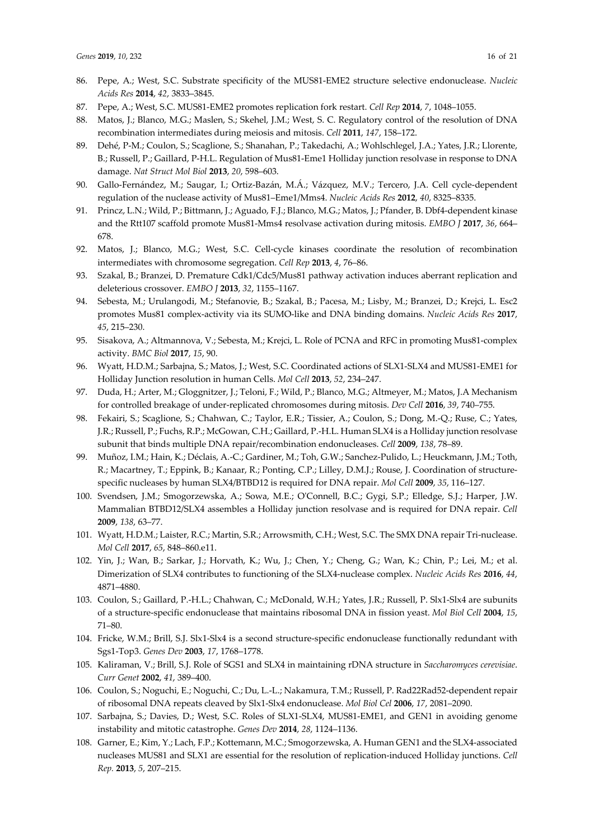- 86. Pepe, A.; West, S.C. Substrate specificity of the MUS81-EME2 structure selective endonuclease. *Nucleic Acids Res* **2014**, *42*, 3833–3845.
- 87. Pepe, A.; West, S.C. MUS81-EME2 promotes replication fork restart. *Cell Rep* **2014**, *7*, 1048–1055.
- 88. Matos, J.; Blanco, M.G.; Maslen, S.; Skehel, J.M.; West, S. C. Regulatory control of the resolution of DNA recombination intermediates during meiosis and mitosis. *Cell* **2011**, *147*, 158–172.
- 89. Dehé, P-M.; Coulon, S.; Scaglione, S.; Shanahan, P.; Takedachi, A.; Wohlschlegel, J.A.; Yates, J.R.; Llorente, B.; Russell, P.; Gaillard, P-H.L. Regulation of Mus81-Eme1 Holliday junction resolvase in response to DNA damage. *Nat Struct Mol Biol* **2013**, *20*, 598–603.
- 90. Gallo-Fernández, M.; Saugar, I.; Ortiz-Bazán, M.Á.; Vázquez, M.V.; Tercero, J.A. Cell cycle-dependent regulation of the nuclease activity of Mus81–Eme1/Mms4. *Nucleic Acids Res* **2012**, *40*, 8325–8335.
- 91. Princz, L.N.; Wild, P.; Bittmann, J.; Aguado, F.J.; Blanco, M.G.; Matos, J.; Pfander, B. Dbf4-dependent kinase and the Rtt107 scaffold promote Mus81-Mms4 resolvase activation during mitosis. *EMBO J* **2017**, *36*, 664– 678.
- 92. Matos, J.; Blanco, M.G.; West, S.C. Cell-cycle kinases coordinate the resolution of recombination intermediates with chromosome segregation. *Cell Rep* **2013**, *4*, 76–86.
- 93. Szakal, B.; Branzei, D. Premature Cdk1/Cdc5/Mus81 pathway activation induces aberrant replication and deleterious crossover. *EMBO J* **2013**, *32*, 1155–1167.
- 94. Sebesta, M.; Urulangodi, M.; Stefanovie, B.; Szakal, B.; Pacesa, M.; Lisby, M.; Branzei, D.; Krejci, L. Esc2 promotes Mus81 complex-activity via its SUMO-like and DNA binding domains. *Nucleic Acids Res* **2017**, *45*, 215–230.
- 95. Sisakova, A.; Altmannova, V.; Sebesta, M.; Krejci, L. Role of PCNA and RFC in promoting Mus81-complex activity. *BMC Biol* **2017**, *15*, 90.
- 96. Wyatt, H.D.M.; Sarbajna, S.; Matos, J.; West, S.C. Coordinated actions of SLX1-SLX4 and MUS81-EME1 for Holliday Junction resolution in human Cells. *Mol Cell* **2013**, *52*, 234–247.
- 97. Duda, H.; Arter, M.; Gloggnitzer, J.; Teloni, F.; Wild, P.; Blanco, M.G.; Altmeyer, M.; Matos, J.A Mechanism for controlled breakage of under-replicated chromosomes during mitosis. *Dev Cell* **2016**, *39*, 740–755.
- 98. Fekairi, S.; Scaglione, S.; Chahwan, C.; Taylor, E.R.; Tissier, A.; Coulon, S.; Dong, M.-Q.; Ruse, C.; Yates, J.R.; Russell, P.; Fuchs, R.P.; McGowan, C.H.; Gaillard, P.-H.L. Human SLX4 is a Holliday junction resolvase subunit that binds multiple DNA repair/recombination endonucleases. *Cell* **2009**, *138*, 78–89.
- 99. Muñoz, I.M.; Hain, K.; Déclais, A.-C.; Gardiner, M.; Toh, G.W.; Sanchez-Pulido, L.; Heuckmann, J.M.; Toth, R.; Macartney, T.; Eppink, B.; Kanaar, R.; Ponting, C.P.; Lilley, D.M.J.; Rouse, J. Coordination of structurespecific nucleases by human SLX4/BTBD12 is required for DNA repair. *Mol Cell* **2009**, *35*, 116–127.
- 100. Svendsen, J.M.; Smogorzewska, A.; Sowa, M.E.; O'Connell, B.C.; Gygi, S.P.; Elledge, S.J.; Harper, J.W. Mammalian BTBD12/SLX4 assembles a Holliday junction resolvase and is required for DNA repair. *Cell* **2009**, *138*, 63–77.
- 101. Wyatt, H.D.M.; Laister, R.C.; Martin, S.R.; Arrowsmith, C.H.; West, S.C. The SMX DNA repair Tri-nuclease. *Mol Cell* **2017**, *65*, 848–860.e11.
- 102. Yin, J.; Wan, B.; Sarkar, J.; Horvath, K.; Wu, J.; Chen, Y.; Cheng, G.; Wan, K.; Chin, P.; Lei, M.; et al. Dimerization of SLX4 contributes to functioning of the SLX4-nuclease complex. *Nucleic Acids Res* **2016**, *44*, 4871–4880.
- 103. Coulon, S.; Gaillard, P.-H.L.; Chahwan, C.; McDonald, W.H.; Yates, J.R.; Russell, P. Slx1-Slx4 are subunits of a structure-specific endonuclease that maintains ribosomal DNA in fission yeast. *Mol Biol Cell* **2004**, *15*, 71–80.
- 104. Fricke, W.M.; Brill, S.J. Slx1-Slx4 is a second structure-specific endonuclease functionally redundant with Sgs1-Top3. *Genes Dev* **2003**, *17*, 1768–1778.
- 105. Kaliraman, V.; Brill, S.J. Role of SGS1 and SLX4 in maintaining rDNA structure in *Saccharomyces cerevisiae*. *Curr Genet* **2002**, *41*, 389–400.
- 106. Coulon, S.; Noguchi, E.; Noguchi, C.; Du, L.-L.; Nakamura, T.M.; Russell, P. Rad22Rad52-dependent repair of ribosomal DNA repeats cleaved by Slx1-Slx4 endonuclease. *Mol Biol Cel* **2006**, *17*, 2081–2090.
- 107. Sarbajna, S.; Davies, D.; West, S.C. Roles of SLX1-SLX4, MUS81-EME1, and GEN1 in avoiding genome instability and mitotic catastrophe. *Genes Dev* **2014**, *28*, 1124–1136.
- 108. Garner, E.; Kim, Y.; Lach, F.P.; Kottemann, M.C.; Smogorzewska, A. Human GEN1 and the SLX4-associated nucleases MUS81 and SLX1 are essential for the resolution of replication-induced Holliday junctions. *Cell Rep.* **2013**, *5*, 207–215.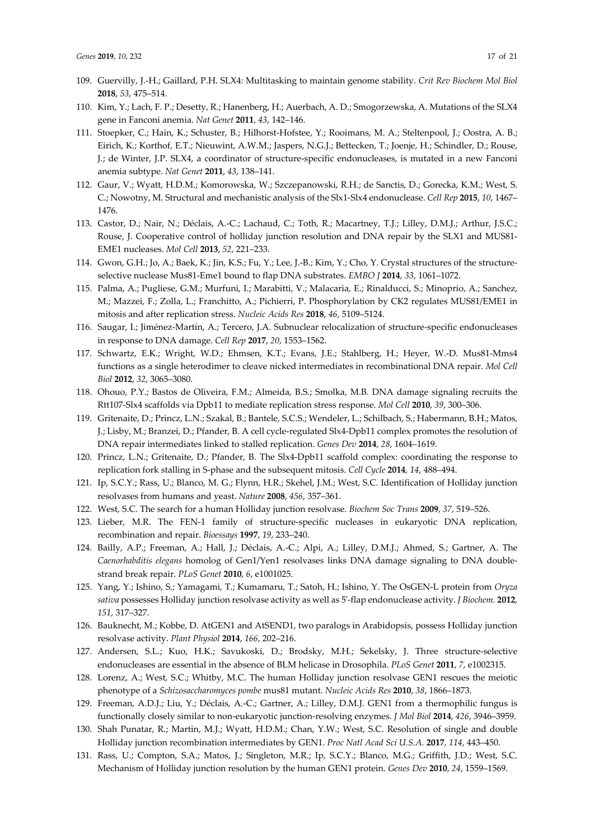- 109. Guervilly, J.-H.; Gaillard, P.H. SLX4: Multitasking to maintain genome stability. *Crit Rev Biochem Mol Biol* **2018**, *53*, 475–514.
- 110. Kim, Y.; Lach, F. P.; Desetty, R.; Hanenberg, H.; Auerbach, A. D.; Smogorzewska, A. Mutations of the SLX4 gene in Fanconi anemia. *Nat Genet* **2011**, *43*, 142–146.
- 111. Stoepker, C.; Hain, K.; Schuster, B.; Hilhorst-Hofstee, Y.; Rooimans, M. A.; Steltenpool, J.; Oostra, A. B.; Eirich, K.; Korthof, E.T.; Nieuwint, A.W.M.; Jaspers, N.G.J.; Bettecken, T.; Joenje, H.; Schindler, D.; Rouse, J.; de Winter, J.P. SLX4, a coordinator of structure-specific endonucleases, is mutated in a new Fanconi anemia subtype. *Nat Genet* **2011**, *43*, 138–141.
- 112. Gaur, V.; Wyatt, H.D.M.; Komorowska, W.; Szczepanowski, R.H.; de Sanctis, D.; Gorecka, K.M.; West, S. C.; Nowotny, M. Structural and mechanistic analysis of the Slx1-Slx4 endonuclease. *Cell Rep* **2015**, *10*, 1467– 1476.
- 113. Castor, D.; Nair, N.; Déclais, A.-C.; Lachaud, C.; Toth, R.; Macartney, T.J.; Lilley, D.M.J.; Arthur, J.S.C.; Rouse, J. Cooperative control of holliday junction resolution and DNA repair by the SLX1 and MUS81- EME1 nucleases. *Mol Cell* **2013**, *52*, 221–233.
- 114. Gwon, G.H.; Jo, A.; Baek, K.; Jin, K.S.; Fu, Y.; Lee, J.-B.; Kim, Y.; Cho, Y. Crystal structures of the structureselective nuclease Mus81-Eme1 bound to flap DNA substrates. *EMBO J* **2014**, *33*, 1061–1072.
- 115. Palma, A.; Pugliese, G.M.; Murfuni, I.; Marabitti, V.; Malacaria, E.; Rinalducci, S.; Minoprio, A.; Sanchez, M.; Mazzei, F.; Zolla, L.; Franchitto, A.; Pichierri, P. Phosphorylation by CK2 regulates MUS81/EME1 in mitosis and after replication stress. *Nucleic Acids Res* **2018**, *46*, 5109–5124.
- 116. Saugar, I.; Jiménez-Martín, A.; Tercero, J.A. Subnuclear relocalization of structure-specific endonucleases in response to DNA damage. *Cell Rep* **2017**, *20*, 1553–1562.
- 117. Schwartz, E.K.; Wright, W.D.; Ehmsen, K.T.; Evans, J.E.; Stahlberg, H.; Heyer, W.-D. Mus81-Mms4 functions as a single heterodimer to cleave nicked intermediates in recombinational DNA repair. *Mol Cell Biol* **2012**, *32*, 3065–3080.
- 118. Ohouo, P.Y.; Bastos de Oliveira, F.M.; Almeida, B.S.; Smolka, M.B. DNA damage signaling recruits the Rtt107-Slx4 scaffolds via Dpb11 to mediate replication stress response. *Mol Cell* **2010**, *39*, 300–306.
- 119. Gritenaite, D.; Princz, L.N.; Szakal, B.; Bantele, S.C.S.; Wendeler, L.; Schilbach, S.; Habermann, B.H.; Matos, J.; Lisby, M.; Branzei, D.; Pfander, B. A cell cycle-regulated Slx4-Dpb11 complex promotes the resolution of DNA repair intermediates linked to stalled replication. *Genes Dev* **2014**, *28*, 1604–1619.
- 120. Princz, L.N.; Gritenaite, D.; Pfander, B. The Slx4-Dpb11 scaffold complex: coordinating the response to replication fork stalling in S-phase and the subsequent mitosis. *Cell Cycle* **2014**, *14*, 488–494.
- 121. Ip, S.C.Y.; Rass, U.; Blanco, M. G.; Flynn, H.R.; Skehel, J.M.; West, S.C. Identification of Holliday junction resolvases from humans and yeast. *Nature* **2008**, *456*, 357–361.
- 122. West, S.C. The search for a human Holliday junction resolvase. *Biochem Soc Trans* **2009**, *37*, 519–526.
- 123. Lieber, M.R. The FEN-1 family of structure-specific nucleases in eukaryotic DNA replication, recombination and repair. *Bioessays* **1997**, *19*, 233–240.
- 124. Bailly, A.P.; Freeman, A.; Hall, J.; Déclais, A.-C.; Alpi, A.; Lilley, D.M.J.; Ahmed, S.; Gartner, A. The *Caenorhabditis elegans* homolog of Gen1/Yen1 resolvases links DNA damage signaling to DNA doublestrand break repair. *PLoS Genet* **2010**, *6*, e1001025.
- 125. Yang, Y.; Ishino, S.; Yamagami, T.; Kumamaru, T.; Satoh, H.; Ishino, Y. The OsGEN-L protein from *Oryza sativa* possesses Holliday junction resolvase activity as well as 5'-flap endonuclease activity. *J Biochem.* **2012**, *151*, 317–327.
- 126. Bauknecht, M.; Kobbe, D. AtGEN1 and AtSEND1, two paralogs in Arabidopsis, possess Holliday junction resolvase activity. *Plant Physiol* **2014**, *166*, 202–216.
- 127. Andersen, S.L.; Kuo, H.K.; Savukoski, D.; Brodsky, M.H.; Sekelsky, J. Three structure-selective endonucleases are essential in the absence of BLM helicase in Drosophila. *PLoS Genet* **2011**, *7*, e1002315.
- 128. Lorenz, A.; West, S.C.; Whitby, M.C. The human Holliday junction resolvase GEN1 rescues the meiotic phenotype of a *Schizosaccharomyces pombe* mus81 mutant. *Nucleic Acids Res* **2010**, *38*, 1866–1873.
- 129. Freeman, A.D.J.; Liu, Y.; Déclais, A.-C.; Gartner, A.; Lilley, D.M.J. GEN1 from a thermophilic fungus is functionally closely similar to non-eukaryotic junction-resolving enzymes. *J Mol Biol* **2014**, *426*, 3946–3959.
- 130. Shah Punatar, R.; Martin, M.J.; Wyatt, H.D.M.; Chan, Y.W.; West, S.C. Resolution of single and double Holliday junction recombination intermediates by GEN1. *Proc Natl Acad Sci U.S.A.* **2017**, *114*, 443–450.
- 131. Rass, U.; Compton, S.A.; Matos, J.; Singleton, M.R.; Ip, S.C.Y.; Blanco, M.G.; Griffith, J.D.; West, S.C. Mechanism of Holliday junction resolution by the human GEN1 protein. *Genes Dev* **2010**, *24*, 1559–1569.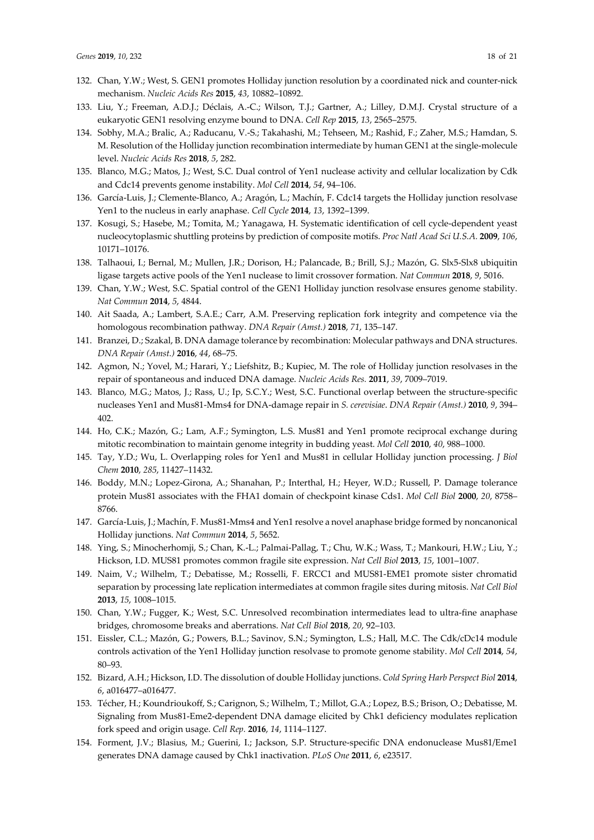- 132. Chan, Y.W.; West, S. GEN1 promotes Holliday junction resolution by a coordinated nick and counter-nick mechanism. *Nucleic Acids Res* **2015**, *43*, 10882–10892.
- 133. Liu, Y.; Freeman, A.D.J.; Déclais, A.-C.; Wilson, T.J.; Gartner, A.; Lilley, D.M.J. Crystal structure of a eukaryotic GEN1 resolving enzyme bound to DNA. *Cell Rep* **2015**, *13*, 2565–2575.
- 134. Sobhy, M.A.; Bralic, A.; Raducanu, V.-S.; Takahashi, M.; Tehseen, M.; Rashid, F.; Zaher, M.S.; Hamdan, S. M. Resolution of the Holliday junction recombination intermediate by human GEN1 at the single-molecule level. *Nucleic Acids Res* **2018**, *5*, 282.
- 135. Blanco, M.G.; Matos, J.; West, S.C. Dual control of Yen1 nuclease activity and cellular localization by Cdk and Cdc14 prevents genome instability. *Mol Cell* **2014**, *54*, 94–106.
- 136. García-Luis, J.; Clemente-Blanco, A.; Aragón, L.; Machín, F. Cdc14 targets the Holliday junction resolvase Yen1 to the nucleus in early anaphase. *Cell Cycle* **2014**, *13*, 1392–1399.
- 137. Kosugi, S.; Hasebe, M.; Tomita, M.; Yanagawa, H. Systematic identification of cell cycle-dependent yeast nucleocytoplasmic shuttling proteins by prediction of composite motifs. *Proc Natl Acad Sci U.S.A.* **2009**, *106*, 10171–10176.
- 138. Talhaoui, I.; Bernal, M.; Mullen, J.R.; Dorison, H.; Palancade, B.; Brill, S.J.; Mazón, G. Slx5-Slx8 ubiquitin ligase targets active pools of the Yen1 nuclease to limit crossover formation. *Nat Commun* **2018**, *9*, 5016.
- 139. Chan, Y.W.; West, S.C. Spatial control of the GEN1 Holliday junction resolvase ensures genome stability. *Nat Commun* **2014**, *5*, 4844.
- 140. Ait Saada, A.; Lambert, S.A.E.; Carr, A.M. Preserving replication fork integrity and competence via the homologous recombination pathway. *DNA Repair (Amst.)* **2018**, *71*, 135–147.
- 141. Branzei, D.; Szakal, B. DNA damage tolerance by recombination: Molecular pathways and DNA structures. *DNA Repair (Amst.)* **2016**, *44*, 68–75.
- 142. Agmon, N.; Yovel, M.; Harari, Y.; Liefshitz, B.; Kupiec, M. The role of Holliday junction resolvases in the repair of spontaneous and induced DNA damage. *Nucleic Acids Res.* **2011**, *39*, 7009–7019.
- 143. Blanco, M.G.; Matos, J.; Rass, U.; Ip, S.C.Y.; West, S.C. Functional overlap between the structure-specific nucleases Yen1 and Mus81-Mms4 for DNA-damage repair in *S. cerevisiae*. *DNA Repair (Amst.)* **2010**, *9*, 394– 402.
- 144. Ho, C.K.; Mazón, G.; Lam, A.F.; Symington, L.S. Mus81 and Yen1 promote reciprocal exchange during mitotic recombination to maintain genome integrity in budding yeast. *Mol Cell* **2010**, *40*, 988–1000.
- 145. Tay, Y.D.; Wu, L. Overlapping roles for Yen1 and Mus81 in cellular Holliday junction processing. *J Biol Chem* **2010**, *285*, 11427–11432.
- 146. Boddy, M.N.; Lopez-Girona, A.; Shanahan, P.; Interthal, H.; Heyer, W.D.; Russell, P. Damage tolerance protein Mus81 associates with the FHA1 domain of checkpoint kinase Cds1. *Mol Cell Biol* **2000**, *20*, 8758– 8766.
- 147. García-Luis, J.; Machín, F. Mus81-Mms4 and Yen1 resolve a novel anaphase bridge formed by noncanonical Holliday junctions. *Nat Commun* **2014**, *5*, 5652.
- 148. Ying, S.; Minocherhomji, S.; Chan, K.-L.; Palmai-Pallag, T.; Chu, W.K.; Wass, T.; Mankouri, H.W.; Liu, Y.; Hickson, I.D. MUS81 promotes common fragile site expression. *Nat Cell Biol* **2013**, *15*, 1001–1007.
- 149. Naim, V.; Wilhelm, T.; Debatisse, M.; Rosselli, F. ERCC1 and MUS81-EME1 promote sister chromatid separation by processing late replication intermediates at common fragile sites during mitosis. *Nat Cell Biol* **2013**, *15*, 1008–1015.
- 150. Chan, Y.W.; Fugger, K.; West, S.C. Unresolved recombination intermediates lead to ultra-fine anaphase bridges, chromosome breaks and aberrations. *Nat Cell Biol* **2018**, *20*, 92–103.
- 151. Eissler, C.L.; Mazón, G.; Powers, B.L.; Savinov, S.N.; Symington, L.S.; Hall, M.C. The Cdk/cDc14 module controls activation of the Yen1 Holliday junction resolvase to promote genome stability. *Mol Cell* **2014**, *54*, 80–93.
- 152. Bizard, A.H.; Hickson, I.D. The dissolution of double Holliday junctions. *Cold Spring Harb Perspect Biol* **2014**, *6*, a016477–a016477.
- 153. Técher, H.; Koundrioukoff, S.; Carignon, S.; Wilhelm, T.; Millot, G.A.; Lopez, B.S.; Brison, O.; Debatisse, M. Signaling from Mus81-Eme2-dependent DNA damage elicited by Chk1 deficiency modulates replication fork speed and origin usage. *Cell Rep.* **2016**, *14*, 1114–1127.
- 154. Forment, J.V.; Blasius, M.; Guerini, I.; Jackson, S.P. Structure-specific DNA endonuclease Mus81/Eme1 generates DNA damage caused by Chk1 inactivation. *PLoS One* **2011**, *6*, e23517.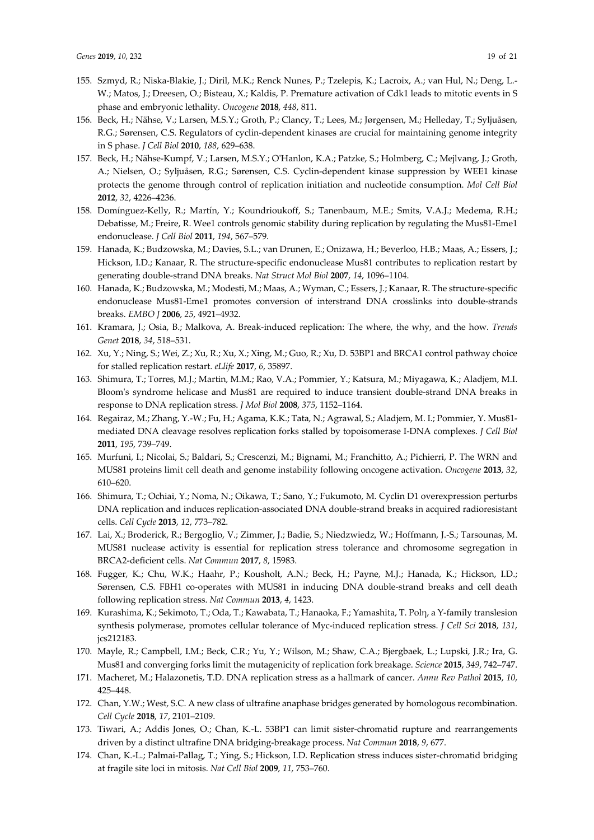- 155. Szmyd, R.; Niska-Blakie, J.; Diril, M.K.; Renck Nunes, P.; Tzelepis, K.; Lacroix, A.; van Hul, N.; Deng, L.- W.; Matos, J.; Dreesen, O.; Bisteau, X.; Kaldis, P. Premature activation of Cdk1 leads to mitotic events in S phase and embryonic lethality. *Oncogene* **2018**, *448*, 811.
- 156. Beck, H.; Nähse, V.; Larsen, M.S.Y.; Groth, P.; Clancy, T.; Lees, M.; Jørgensen, M.; Helleday, T.; Syljuåsen, R.G.; Sørensen, C.S. Regulators of cyclin-dependent kinases are crucial for maintaining genome integrity in S phase. *J Cell Biol* **2010**, *188*, 629–638.
- 157. Beck, H.; Nähse-Kumpf, V.; Larsen, M.S.Y.; O'Hanlon, K.A.; Patzke, S.; Holmberg, C.; Mejlvang, J.; Groth, A.; Nielsen, O.; Syljuåsen, R.G.; Sørensen, C.S. Cyclin-dependent kinase suppression by WEE1 kinase protects the genome through control of replication initiation and nucleotide consumption. *Mol Cell Biol* **2012**, *32*, 4226–4236.
- 158. Domínguez-Kelly, R.; Martín, Y.; Koundrioukoff, S.; Tanenbaum, M.E.; Smits, V.A.J.; Medema, R.H.; Debatisse, M.; Freire, R. Wee1 controls genomic stability during replication by regulating the Mus81-Eme1 endonuclease. *J Cell Biol* **2011**, *194*, 567–579.
- 159. Hanada, K.; Budzowska, M.; Davies, S.L.; van Drunen, E.; Onizawa, H.; Beverloo, H.B.; Maas, A.; Essers, J.; Hickson, I.D.; Kanaar, R. The structure-specific endonuclease Mus81 contributes to replication restart by generating double-strand DNA breaks. *Nat Struct Mol Biol* **2007**, *14*, 1096–1104.
- 160. Hanada, K.; Budzowska, M.; Modesti, M.; Maas, A.; Wyman, C.; Essers, J.; Kanaar, R. The structure-specific endonuclease Mus81-Eme1 promotes conversion of interstrand DNA crosslinks into double-strands breaks. *EMBO J* **2006**, *25*, 4921–4932.
- 161. Kramara, J.; Osia, B.; Malkova, A. Break-induced replication: The where, the why, and the how. *Trends Genet* **2018**, *34*, 518–531.
- 162. Xu, Y.; Ning, S.; Wei, Z.; Xu, R.; Xu, X.; Xing, M.; Guo, R.; Xu, D. 53BP1 and BRCA1 control pathway choice for stalled replication restart. *eLlife* **2017**, *6*, 35897.
- 163. Shimura, T.; Torres, M.J.; Martin, M.M.; Rao, V.A.; Pommier, Y.; Katsura, M.; Miyagawa, K.; Aladjem, M.I. Bloom's syndrome helicase and Mus81 are required to induce transient double-strand DNA breaks in response to DNA replication stress. *J Mol Biol* **2008**, *375*, 1152–1164.
- 164. Regairaz, M.; Zhang, Y.-W.; Fu, H.; Agama, K.K.; Tata, N.; Agrawal, S.; Aladjem, M. I.; Pommier, Y. Mus81 mediated DNA cleavage resolves replication forks stalled by topoisomerase I-DNA complexes. *J Cell Biol* **2011**, *195*, 739–749.
- 165. Murfuni, I.; Nicolai, S.; Baldari, S.; Crescenzi, M.; Bignami, M.; Franchitto, A.; Pichierri, P. The WRN and MUS81 proteins limit cell death and genome instability following oncogene activation. *Oncogene* **2013**, *32*, 610–620.
- 166. Shimura, T.; Ochiai, Y.; Noma, N.; Oikawa, T.; Sano, Y.; Fukumoto, M. Cyclin D1 overexpression perturbs DNA replication and induces replication-associated DNA double-strand breaks in acquired radioresistant cells. *Cell Cycle* **2013**, *12*, 773–782.
- 167. Lai, X.; Broderick, R.; Bergoglio, V.; Zimmer, J.; Badie, S.; Niedzwiedz, W.; Hoffmann, J.-S.; Tarsounas, M. MUS81 nuclease activity is essential for replication stress tolerance and chromosome segregation in BRCA2-deficient cells. *Nat Commun* **2017**, *8*, 15983.
- 168. Fugger, K.; Chu, W.K.; Haahr, P.; Kousholt, A.N.; Beck, H.; Payne, M.J.; Hanada, K.; Hickson, I.D.; Sørensen, C.S. FBH1 co-operates with MUS81 in inducing DNA double-strand breaks and cell death following replication stress. *Nat Commun* **2013**, *4*, 1423.
- 169. Kurashima, K.; Sekimoto, T.; Oda, T.; Kawabata, T.; Hanaoka, F.; Yamashita, T. Polη, a Y-family translesion synthesis polymerase, promotes cellular tolerance of Myc-induced replication stress. *J Cell Sci* **2018**, *131*, jcs212183.
- 170. Mayle, R.; Campbell, I.M.; Beck, C.R.; Yu, Y.; Wilson, M.; Shaw, C.A.; Bjergbaek, L.; Lupski, J.R.; Ira, G. Mus81 and converging forks limit the mutagenicity of replication fork breakage. *Science* **2015**, *349*, 742–747.
- 171. Macheret, M.; Halazonetis, T.D. DNA replication stress as a hallmark of cancer. *Annu Rev Pathol* **2015**, *10*, 425–448.
- 172. Chan, Y.W.; West, S.C. A new class of ultrafine anaphase bridges generated by homologous recombination. *Cell Cycle* **2018**, *17*, 2101–2109.
- 173. Tiwari, A.; Addis Jones, O.; Chan, K.-L. 53BP1 can limit sister-chromatid rupture and rearrangements driven by a distinct ultrafine DNA bridging-breakage process. *Nat Commun* **2018**, *9*, 677.
- 174. Chan, K.-L.; Palmai-Pallag, T.; Ying, S.; Hickson, I.D. Replication stress induces sister-chromatid bridging at fragile site loci in mitosis. *Nat Cell Biol* **2009**, *11*, 753–760.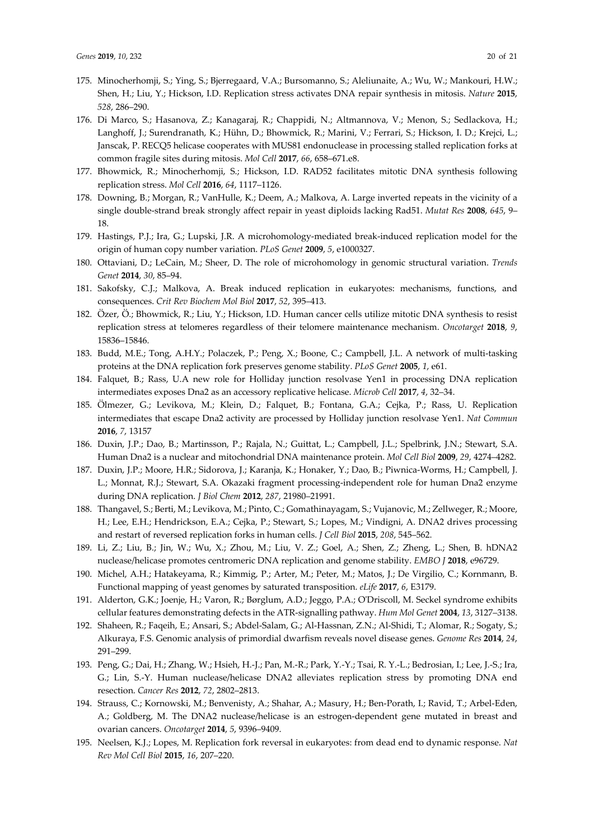- 175. Minocherhomji, S.; Ying, S.; Bjerregaard, V.A.; Bursomanno, S.; Aleliunaite, A.; Wu, W.; Mankouri, H.W.; Shen, H.; Liu, Y.; Hickson, I.D. Replication stress activates DNA repair synthesis in mitosis. *Nature* **2015**, *528*, 286–290.
- 176. Di Marco, S.; Hasanova, Z.; Kanagaraj, R.; Chappidi, N.; Altmannova, V.; Menon, S.; Sedlackova, H.; Langhoff, J.; Surendranath, K.; Hühn, D.; Bhowmick, R.; Marini, V.; Ferrari, S.; Hickson, I. D.; Krejci, L.; Janscak, P. RECQ5 helicase cooperates with MUS81 endonuclease in processing stalled replication forks at common fragile sites during mitosis. *Mol Cell* **2017**, *66*, 658–671.e8.
- 177. Bhowmick, R.; Minocherhomji, S.; Hickson, I.D. RAD52 facilitates mitotic DNA synthesis following replication stress. *Mol Cell* **2016**, *64*, 1117–1126.
- 178. Downing, B.; Morgan, R.; VanHulle, K.; Deem, A.; Malkova, A. Large inverted repeats in the vicinity of a single double-strand break strongly affect repair in yeast diploids lacking Rad51. *Mutat Res* **2008**, *645*, 9– 18.
- 179. Hastings, P.J.; Ira, G.; Lupski, J.R. A microhomology-mediated break-induced replication model for the origin of human copy number variation. *PLoS Genet* **2009**, *5*, e1000327.
- 180. Ottaviani, D.; LeCain, M.; Sheer, D. The role of microhomology in genomic structural variation. *Trends Genet* **2014**, *30*, 85–94.
- 181. Sakofsky, C.J.; Malkova, A. Break induced replication in eukaryotes: mechanisms, functions, and consequences. *Crit Rev Biochem Mol Biol* **2017**, *52*, 395–413.
- 182. Özer, Ö.; Bhowmick, R.; Liu, Y.; Hickson, I.D. Human cancer cells utilize mitotic DNA synthesis to resist replication stress at telomeres regardless of their telomere maintenance mechanism. *Oncotarget* **2018**, *9*, 15836–15846.
- 183. Budd, M.E.; Tong, A.H.Y.; Polaczek, P.; Peng, X.; Boone, C.; Campbell, J.L. A network of multi-tasking proteins at the DNA replication fork preserves genome stability. *PLoS Genet* **2005**, *1*, e61.
- 184. Falquet, B.; Rass, U.A new role for Holliday junction resolvase Yen1 in processing DNA replication intermediates exposes Dna2 as an accessory replicative helicase. *Microb Cell* **2017**, *4*, 32–34.
- 185. Ölmezer, G.; Levikova, M.; Klein, D.; Falquet, B.; Fontana, G.A.; Cejka, P.; Rass, U. Replication intermediates that escape Dna2 activity are processed by Holliday junction resolvase Yen1. *Nat Commun* **2016**, *7*, 13157
- 186. Duxin, J.P.; Dao, B.; Martinsson, P.; Rajala, N.; Guittat, L.; Campbell, J.L.; Spelbrink, J.N.; Stewart, S.A. Human Dna2 is a nuclear and mitochondrial DNA maintenance protein. *Mol Cell Biol* **2009**, *29*, 4274–4282.
- 187. Duxin, J.P.; Moore, H.R.; Sidorova, J.; Karanja, K.; Honaker, Y.; Dao, B.; Piwnica-Worms, H.; Campbell, J. L.; Monnat, R.J.; Stewart, S.A. Okazaki fragment processing-independent role for human Dna2 enzyme during DNA replication. *J Biol Chem* **2012**, *287*, 21980–21991.
- 188. Thangavel, S.; Berti, M.; Levikova, M.; Pinto, C.; Gomathinayagam, S.; Vujanovic, M.; Zellweger, R.; Moore, H.; Lee, E.H.; Hendrickson, E.A.; Cejka, P.; Stewart, S.; Lopes, M.; Vindigni, A. DNA2 drives processing and restart of reversed replication forks in human cells. *J Cell Biol* **2015**, *208*, 545–562.
- 189. Li, Z.; Liu, B.; Jin, W.; Wu, X.; Zhou, M.; Liu, V. Z.; Goel, A.; Shen, Z.; Zheng, L.; Shen, B. hDNA2 nuclease/helicase promotes centromeric DNA replication and genome stability. *EMBO J* **2018**, e96729.
- 190. Michel, A.H.; Hatakeyama, R.; Kimmig, P.; Arter, M.; Peter, M.; Matos, J.; De Virgilio, C.; Kornmann, B. Functional mapping of yeast genomes by saturated transposition. *eLife* **2017**, *6*, E3179.
- 191. Alderton, G.K.; Joenje, H.; Varon, R.; Børglum, A.D.; Jeggo, P.A.; O'Driscoll, M. Seckel syndrome exhibits cellular features demonstrating defects in the ATR-signalling pathway. *Hum Mol Genet* **2004**, *13*, 3127–3138.
- 192. Shaheen, R.; Faqeih, E.; Ansari, S.; Abdel-Salam, G.; Al-Hassnan, Z.N.; Al-Shidi, T.; Alomar, R.; Sogaty, S.; Alkuraya, F.S. Genomic analysis of primordial dwarfism reveals novel disease genes. *Genome Res* **2014**, *24*, 291–299.
- 193. Peng, G.; Dai, H.; Zhang, W.; Hsieh, H.-J.; Pan, M.-R.; Park, Y.-Y.; Tsai, R. Y.-L.; Bedrosian, I.; Lee, J.-S.; Ira, G.; Lin, S.-Y. Human nuclease/helicase DNA2 alleviates replication stress by promoting DNA end resection. *Cancer Res* **2012**, *72*, 2802–2813.
- 194. Strauss, C.; Kornowski, M.; Benvenisty, A.; Shahar, A.; Masury, H.; Ben-Porath, I.; Ravid, T.; Arbel-Eden, A.; Goldberg, M. The DNA2 nuclease/helicase is an estrogen-dependent gene mutated in breast and ovarian cancers. *Oncotarget* **2014**, *5*, 9396–9409.
- 195. Neelsen, K.J.; Lopes, M. Replication fork reversal in eukaryotes: from dead end to dynamic response. *Nat Rev Mol Cell Biol* **2015**, *16*, 207–220.